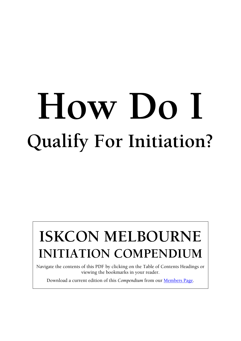# **How Do I Qualify For Initiation?**

# **ISKCON MELBOURNE INITIATION COMPENDIUM**

Navigate the contents of this PDF by clicking on the Table of Contents Headings or viewing the bookmarks in your reader.

Download a current edition of this *Compendium* from our [Members Page.](http://www.harekrishnamelbourne.com.au/members.html)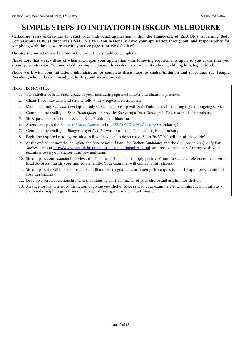# <span id="page-1-0"></span>**SIMPLE STEPS TO INITIATION IN ISKCON MELBOURNE**

**Melbourne Yatra endeavours to assist your individual application within the framework of ISKCON's Governing Body Commission's (GBC's) directives (ISKCON Law). You personally drive your application throughout, and responsibility for complying with these laws rests with you (see page 4 for ISKCON law).**

**The steps to initiation are laid out in the order they should be completed.**

**Please note that – regardless of when you began your application - the following requirements apply to you at the time you attend your interview. You may need to complete missed lower-level requirements when qualifying for a higher level.**

**Please work with your initiations administrator to complete these steps to shelter/initiation and to contact the Temple President, who will recommend you for first and second initiation.**

### **FIRST SIX MONTHS:**

- 1. Take shelter of Srila Prabhupada as your instructing spiritual master and chant his *pranāms*.
- 2. Chant 16 rounds daily and strictly follow the 4 regulative principles.
- 3. Maintain steady *sadhana*; develop a steady service relationship with Srila Prabhupada by offering regular, ongoing service.
- 4. Complete the reading of *Śrīla Prabhupāda-līlāmrta* (by Satsvarupa Dasa Goswami). This reading is compulsory.
- 5. Sit  $\&$  pass the open-book essay on Śrīla Prabhupāda-līlāmirta.
- 6. Attend and pass the *[Founder-Acarya Course](http://bit.ly/FACourse2018)* and the *[ISKCON Disciples' Course](https://forms.office.com/Pages/ResponsePage.aspx?id=7mxca9gWnUC3Q-wH66_cCRfq9C_VawRDrMRlNEEYqRJURUo0N1gxMjdJTkhPNFA1UEhUTERTUk0xQi4u)* (mandatory).
- 7. Complete the reading of *Bhagavad-gétä As It Is* (with purports). This reading is compulsory.
- 8. Begin the required reading for initiates if you have yet to do so (page 34 in 26/5/2021 edition of this guide)
- 9. At the end of six months, complete the *Service Record Form for Shelter Candidates* and the *Application To Qualify For Shelter* forms at [http://www.harekrishnamelbourne.com.au/members.html,](http://www.harekrishnamelbourne.com.au/members.html) and receive response. Arrange with your examiner to sit your shelter interview and exam.
- 10. Sit and pass your *sädhana* interview: this includes being able to supply positive 6-month *sädhana* references from senior local devotees outside your immediate family. Your examiner will contact your referees.
- 11. Sit and pass the GBC 16 Question exam. Bhakti Sastri graduates are exempt from questions 1-13 upon presentation of Pass Certificates.
- 12. Develop a service relationship with the initiating spiritual master of your choice and ask him for shelter.
- **13.** Arrange for his written confirmation of giving you shelter to be sent to your examiner. Your minimum 6 months as a sheltered disciple begins from our receipt of your *guru's* written confirmation.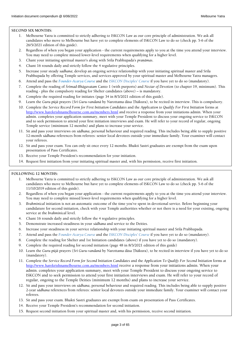### **SECOND SIX MONTHS:**

- 1. Melbourne Yatra is committed to strictly adhering to ISKCON Law as our core principle of administration. We ask all candidates who move to Melbourne but have yet to complete elements of ISKCON Law to do so (check pp. 5-6 of the 26/5/2021 edition of this guide).
- 2. Regardless of when you began your application the current requirements apply to you at the time you attend your interview. You may need to complete missed lower-level requirements when qualifying for a higher level.
- 3. Chant your initiating spiritual master's along with Srila Prabhupada's *praëämas*.
- 4. Chant 16 rounds daily and strictly follow the 4 regulative principles.
- 5. Increase your steady *sadhana*; develop an ongoing service relationship with your initiating spiritual master and Srila Prabhupada by offering Temple services, and services approved by your spiritual master and Melbourne Yatra managers.
- 6. Attend and pass the *[Founder-Acarya Course](http://bit.ly/FACourse2018)* and the *[ISKCON Disciples' Course](https://forms.office.com/Pages/ResponsePage.aspx?id=7mxca9gWnUC3Q-wH66_cCRfq9C_VawRDrMRlNEEYqRJURUo0N1gxMjdJTkhPNFA1UEhUTERTUk0xQi4u)* if you have yet to do so (mandatory).
- 7. Complete the reading of *Çrémad-Bhägavatam* Canto 1 (with purports) and *Nectar of Devotion* (to chapter 19, minimum). This reading - plus the compulsory reading for Shelter candidates (above) – is mandatory.
- 8. Complete the required reading for initiates (page 34 in 8/3/2021 edition of this guide).
- 9. Learn the *Guru-pūjā* prayers (*Śrī Guru-vandanā* by Narottama dāsa Țhākura), to be recited in interview. This is compulsory.
- 10. Complete the *Service Record Form for First Initiation Candidates* and the *Application to Qualify For First Initiation* forms at <http://www.harekrishnamelbourne.com.au/members.html> and receive a response from your initiations admin. When your admin. completes your application summary, meet with your Temple President to discuss your ongoing service to ISKCON and to seek permission to attend your first initiation interviews and exam. He will refer to your record of regular, ongoing Temple service (minimum 12 months) and plans to increase your service.
- 11. Sit and pass your interviews on *sädhana*, personal behaviour and required reading. This includes being able to supply positive 12-month *sädhana* references from referees: senior local devotees outside your immediate family. Your examiner will contact your referees.
- 12. Sit and pass your exam. You can only sit once every 12 months. Bhakti Sastri graduates are exempt from the exam upon presentation of Pass Certificates.
- 13. Receive your Temple President's recommendation for your initiation.
- 14. Request first initiation from your initiating spiritual master and, with his permission, receive first initiation.

### **FOLLOWING 12 MONTHS:**

- 1. Melbourne Yatra is committed to strictly adhering to ISKCON Law as our core principle of administration. We ask all candidates who move to Melbourne but have yet to complete elements of ISKCON Law to do so (check pp. 5-6 of the 11/10/2019 edition of this guide).
- 2. Regardless of when you began your application the current requirements apply to you at the time you attend your interview. You may need to complete missed lower-level requirements when qualifying for a higher level.
- 3. *Brahminical* initiation is not an automatic outcome of the time you've spent in devotional service. Before beginning your candidature for second initiation, check with your Temple authorities whether or not there is a need for your existing, ongoing service at the *brahminical* level.
- 4. Chant 16 rounds daily and strictly follow the 4 regulative principles.
- 5. Demonstrate increased steadiness in your *sädhana* and service to the Deities.
- 6. Increase your steadiness in your service relationship with your initiating spiritual master and Srila Prabhupada.
- 7. Attend and pass the *[Founder-Acarya Course](http://bit.ly/FACourse2018)* and the *[ISKCON Disciples' Course](https://forms.office.com/Pages/ResponsePage.aspx?id=7mxca9gWnUC3Q-wH66_cCRfq9C_VawRDrMRlNEEYqRJURUo0N1gxMjdJTkhPNFA1UEhUTERTUk0xQi4u)* if you have yet to do so (mandatory).
- 8. Complete the reading for Shelter and 1st Initiation candidates (above) if you have yet to do so (mandatory).
- 9. Complete the required reading for second initiation (page 48 in 8/3/2021 edition of this guide)
- 10. Learn the *Guru-püjä* prayers (*Çré Guru-vandanä* by Narottama däsa Öhäkura), to be recited in interview if you have yet to do so (mandatory).
- 11. Complete the *Service Record Form for Second Initiation Candidates* and the *Application To Qualify For Second Initiation* forms at <http://www.harekrishnamelbourne.com.au/members.html> receive a response from your initiations admin. When your admin. completes your application summary, meet with your Temple President to discuss your ongoing service to ISKCON and to seek permission to attend your first initiation interviews and exam. He will refer to your record of regular, ongoing to the Temple Deities (minimum 12 months) and plans to increase your service.
- 12. Sit and pass your interviews on *sädhana*, personal behaviour and required reading. This includes being able to supply positive 2-year *sädhana* references from referees: senior local devotees outside your immediate family. Your examiner will contact your referees.
- 13. Sit and pass your exam. Bhakti Sastri graduates are exempt from exam on presentation of Pass Certificates.
- 14. Receive your Temple President's recommendation for second initiation.
- 15. Request second initiation from your spiritual master and, with his permission, receive second initiation.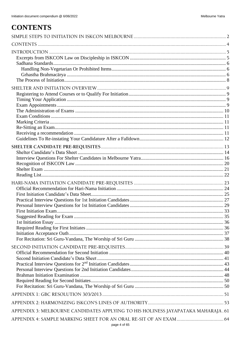# <span id="page-3-0"></span>**CONTENTS**

| APPENDIX 3: MELBOURNE CANDIDATES APPLYING TO HIS HOLINESS JAYAPATAKA MAHARAJA.61 |  |
|----------------------------------------------------------------------------------|--|
| page 4 of 65                                                                     |  |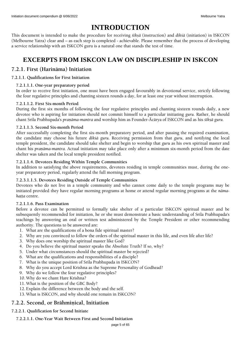# **INTRODUCTION**

<span id="page-4-0"></span>This document is intended to make the procedure for receiving *çékñä* (instruction) and *dikçä* (initiation) in ISKCON (Melbourne Yatra) clear and – as each step is completed - achievable. Please remember that the process of developing a service relationship with an ISKCON guru is a natural one that stands the test of time.

# **EXCERPTS FROM ISKCON LAW ON DISCIPLESHIP IN ISKCON**

### <span id="page-4-1"></span>**7.2.1. First (Harinäma) Initiation**

### **7.2.1.1. Qualifications for First Initiation**

### **7.2.1.1.1. One-year preparatory period**

In order to receive first initiation, one must have been engaged favourably in devotional service, strictly following the four regulative principles and chanting sixteen rounds a day, for at least one year without interruption.

### **7.2.1.1.2. First Six-month Period**

During the first six months of following the four regulative principles and chanting sixteen rounds daily, a new devotee who is aspiring for initiation should not commit himself to a particular initiating *guru*. Rather, he should chant Srila Prabhupada's *pranāma-mantra* and worship him as Founder-Ācārya of ISKCON and as his *śīksā guru*.

### **7.2.1.1.3. Second Six-month Period**

After successfully completing the first six-month preparatory period, and after passing the required examination, the candidate may choose his future *dikçä guru*. Receiving permission from that *guru*, and notifying the local temple president, the candidate should take shelter and begin to worship that *guru* as his own spiritual master and chant his *praëäma-mantra*. Actual initiation may take place only after a minimum six-month period from the date shelter was taken and the local temple president notified.

### **7.2.1.1.4. Devotees Residing Within Temple Communities**

In addition to satisfying the above requirements, devotees residing in temple communities must, during the oneyear preparatory period, regularly attend the full morning program.

### **7.2.3.1.1.5. Devotees Residing Outside of Temple Communities**

Devotees who do not live in a temple community and who cannot come daily to the temple programs may be initiated provided they have regular morning programs at home or attend regular morning programs at the *nämahatta* centre.

### **7.2.1.1.6. Pass Examination**

Before a devotee can be permitted to formally take shelter of a particular ISKCON spiritual master and be subsequently recommended for initiation, he or she must demonstrate a basic understanding of Srila Prabhupada's teachings by answering an oral or written test administered by the Temple President or other recommending authority. The questions to be answered are:

- 1. What are the qualifications of a bona fide spiritual master?
- 2. Why are you convinced to follow the orders of the spiritual master in this life, and even life after life?
- 3. Why does one worship the spiritual master like God?
- 4. Do you believe the spiritual master speaks the Absolute Truth? If so, why?
- 5. Under what circumstances should the spiritual master be rejected?
- 6. What are the qualifications and responsibilities of a disciple?
- 7. What is the unique position of Srila Prabhupada in ISKCON?
- 8. Why do you accept Lord Krishna as the Supreme Personality of Godhead?
- 9. Why do we follow the four regulative principles?
- 10. Why do we chant Hare Krishna?
- 11. What is the position of the GBC Body?
- 12. Explain the difference between the body and the self.
- 13. What is ISKCON, and why should one remain in ISKCON?

### **7.2.2. Second, or Brähminical, Initiation**

### **7.2.2.1. Qualification for Second Initiate**

**7.2.2.1.1. One-Year Wait Between First and Second Initiation**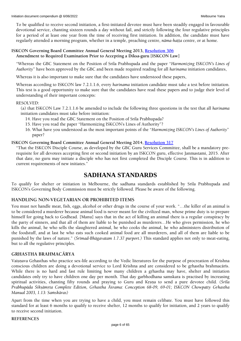To be qualified to receive second initiation, a first-initiated devotee must have been steadily engaged in favourable devotional service, chanting sixteen rounds a day without fail, and strictly following the four regulative principles for a period of at least one year from the time of receiving first initiation. In addition, the candidate must have regularly attended a morning program, whether in a temple, preaching centre, *nāma-hatta* centre, or at home.

### **ISKCON Governing Board Committee Annual General Meeting 2013, [Resolution 306](http://www.dandavats.com/wp-content/uploads/GBCresolutions/GBCRES13.html) Amendment to Required Examination Prior to Accepting a Diksa-guru [ISKCON Law]**

"Whereas the GBC Statement on the Position of Srila Prabhupada and the paper "*Harmonizing ISKCON's Lines of Authority*" have been approved by the GBC and been made required reading for all *harinama* initiation candidates,

Whereas it is also important to make sure that the candidates have understood these papers,

Whereas according to ISKCON law 7.2.1.1.6, every *harinama* initiation candidate must take a test before initiation. This test is a good opportunity to make sure that the candidates have read these papers and to judge their level of understanding of their important concepts:

### RESOLVED:

(a) that ISKCON Law 7.2.1.1.6 be amended to include the following three questions in the test that all *harinama* initiation candidates must take before initiation:

- 14. Have you read the GBC Statement on the Position of Srila Prabhupada?
- 15. Have you read the paper "Harmonizing ISKCON's Lines of Authority"?
- 16. What have you understood as the most important points of the "*Harmonizing ISKCON's Lines of Authority*" paper?

### **ISKCON Governing Board Committee Annual General Meeting 2014, [Resolution 317](http://gbc.iskcon.org/gbc_res/GBCRES14.html)**

"That the ISKCON Disciple Course, as developed by the GBC Guru Services Committee, shall be a mandatory prerequisite for all devotees accepting first or second initiation by an ISKCON guru, effective Janmastami, 2015. After that date, no guru may initiate a disciple who has not first completed the Disciple Course. This is in addition to current requirements of new initiates."

# <span id="page-5-0"></span>**SADHANA STANDARDS**

To qualify for shelter or initiation in Melbourne, the sadhana standards established by Srila Prabhupada and ISKCON's Governing Body Commission must be strictly followed. Please be aware of the following.

### <span id="page-5-1"></span>**HANDLING NON-VEGETARIAN OR PROHIBITED ITEMS**

You must not handle meat, fish, eggs, alcohol or other drugs in the course of your work. "…the killer of an animal is to be considered a murderer because animal food is never meant for the civilized man, whose prime duty is to prepare himself for going back to Godhead. [Manu] says that in the act of killing an animal there is a regular conspiracy by the party of sinners, and that all of them are liable to be punished as murderers…He who gives permission, he who kills the animal, he who sells the slaughtered animal, he who cooks the animal, he who administers distribution of the foodstuff, and at last he who eats such cooked animal food are all murderers, and all of them are liable to be punished by the laws of nature." *(Çrémad-Bhägavatam 1.7.37 purport.)* This standard applies not only to meat-eating, but to all the regulative principles.

### <span id="page-5-2"></span>**GRHASTHA BRAHMACÄRYA**

Vaisnava Grhasthas who practice sex-life according to the Vedic literatures for the purpose of procreation of Krishna conscious children are doing a devotional service to Lord Krishna and are considered to be grhastha brahmacārīs. While there is no hard and fast rule limiting how many children a grhastha may have, shelter and initiation candidates only try to have children one day per month. That day garbhodhana samskara is practised by increasing spiritual activities, chanting fifty rounds and praying to Guru and Krsna to send a pure devotee child. (Śrīla *Prabhupāda Śiksāmrta Complete Edition, Grhastha Āšrama: Conception 68-09, 69-01; ISKCON Chowpatty Grhastha Manual 2003, 1.13: Samskāras)* 

Apart from the time when you are trying to have a child, you must remain celibate. You must have followed this standard for at least 6 months to qualify to receive shelter, 12 months to qualify for initiation, and 2 years to qualify to receive second initiation.

### **REFERENCES**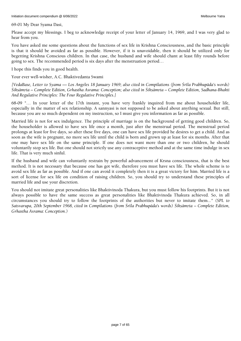69-01 My Dear Syama Dasi,

Please accept my blessings. I beg to acknowledge receipt of your letter of January 14, 1969, and I was very glad to hear from you.

You have asked me some questions about the functions of sex life in Krishna Consciousness, and the basic principle is that it should be avoided as far as possible. However, if it is unavoidable, then it should be utilized only for begetting Krishna Conscious children. In that case, the husband and wife should chant at least fifty rounds before going to sex. The recommended period is six days after the menstruation period…

I hope this finds you in good health.

Your ever well-wisher, A.C. Bhaktivedanta Swami

*[VedaBase, Letter to Syama — Los Angeles 18 January 1969; also cited in Compilations (from Çréla Prabhupäda's words) Çikñämåta – Complete Edition, Grhastha Asrama: Conception; also cited in Çikñämåta – Complete Edition, Sadhana-Bhakti And Regulative Principles: The Four Regulative Principles.]*

68-09 "… In your letter of the 17th instant, you have very frankly inquired from me about householder life, especially in the matter of sex relationship. A sannyasi is not supposed to be asked about anything sexual. But still, because you are so much dependent on my instruction, so I must give you information as far as possible.

Married life is not for sex indulgence. The principle of marriage is on the background of getting good children. So, the householder is allowed to have sex life once a month, just after the menstrual period. The menstrual period prolongs at least for five days, so after these five days, one can have sex life provided he desires to get a child. And as soon as the wife is pregnant, no more sex life until the child is born and grown up at least for six months. After that one may have sex life on the same principle. If one does not want more than one or two children, he should voluntarily stop sex life. But one should not strictly use any contraceptive method and at the same time indulge in sex life. That is very much sinful.

If the husband and wife can voluntarily restrain by powerful advancement of Krsna consciousness, that is the best method. It is not necessary that because one has got wife, therefore you must have sex life. The whole scheme is to avoid sex life as far as possible. And if one can avoid it completely then it is a great victory for him. Married life is a sort of license for sex life on condition of raising children. So, you should try to understand these principles of married life and use your discretion.

You should not imitate great personalities like Bhaktivinoda Thakura, but you must follow his footprints. But it is not always possible to have the same success as great personalities like Bhaktivinoda Thakura achieved. So, in all circumstances you should try to follow the footprints of the authorities but never to imitate them*..." (SPL to Satsvarupa, 20th September 1968, cited in Compilations (from Çréla Prabhupäda's words) Çikñämåta – Complete Edition, Grhastha Asrama: Conception.)*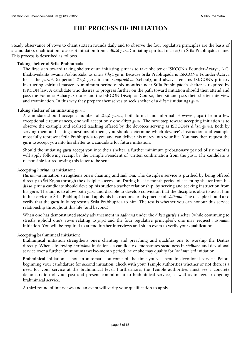# **THE PROCESS OF INITIATION**

<span id="page-7-0"></span>Steady observance of vows to chant sixteen rounds daily and to observe the four regulative principles are the basis of a candidate's qualification to accept initiation from a *dikśā guru* (initiating spiritual master) in Śrīla Prabhupāda's line. This process is described as follows.

### **Taking shelter of Srila Prabhupada**

The first step toward taking shelter of an initiating *guru* is to take shelter of ISKCON's Founder-Äcärya, A.C. Bhaktivedanta Swami Prabhupäda, as one's *çékñä guru*. Because Çréla Prabhupäda is ISKCON's Founder-Äcärya he is the *paraà* (superior) *çékñä guru* in our *sampradäya* (school), and always remains ISKCON's primary instructing spiritual master. A minimum period of six months under Śrīla Prabhupāda's shelter is required by ISKCON law. A candidate who desires to progress further on the path toward initiation should then attend and pass the Founder-Acharya Course and the ISKCON Disciple's Course, then sit and pass their shelter interview and examination. In this way they prepare themselves to seek shelter of a *dékñä* (initiating) *guru*.

### **Taking shelter of an initiating** *guru***:**

A candidate *s*hould accept a number of *çékñä gurus*, both formal and informal. However, apart from a few exceptional circumstances, one will accept only one *dékñä guru*. The next step toward accepting initiation is to observe the example and realised teaching offered by the devotees serving as ISKCON's *dékñä gurus*. Both by serving them and asking questions of them, you should determine which devotee's instruction and example most fully represent Śrīla Prabhupāda to you and can deliver his mercy into your life. You may then request the *guru* to accept you into his shelter as a candidate for future initiation.

Should the initiating *guru* accept you into their shelter, a further minimum probationary period of six months will apply following receipt by the Temple President of written confirmation from the *guru*. The candidate is responsible for requesting this letter to be sent.

### **Accepting** *harinäma* **initiation:**

*Harinäma* initiation strengthens one's chanting and *sädhana*. The disciple's service is purified by being offered directly to Śrī Krsna through the disciplic succession. During his six-month period of accepting shelter from his *dékñä guru* a candidate should develop his student-teacher relationship, by serving and seeking instruction from his *guru*. The aim is to allow both *guru* and disciple to develop conviction that the disciple is able to assist him in his service to Śrīla Prabhupāda and apply his instructions to his practice of *sādhana*. The disciple should also verify that the *guru* fully represents Śrīla Prabhupāda to him. The test is whether you can honour this service relationship throughout this life (and beyond).

When one has demonstrated steady advancement in *sädhana* under the *dékñä guru's* shelter (while continuing to strictly uphold one's vows relating to *japa* and the four regulative principles), one may request *harinäma* initiation. You will be required to attend further interviews and sit an exam to verify your qualification.

### **Accepting brahminical initiation:**

Brāhminical initiation strengthens one's chanting and preaching and qualifies one to worship the Deities directly. When - following *harinäma* initiation - a candidate demonstrates steadiness in *sädhana* and devotional service over a further (minimum) twelve-month period, he or she may qualify for *brāhminical* initiation.

Brahminical initiation is not an automatic outcome of the time you've spent in devotional service. Before beginning your candidature for second initiation, check with your Temple authorities whether or not there is a need for your service at the brahminical level. Furthermore, the Temple authorities must see a concrete demonstration of your past and present commitment to brahminical service, as well as to regular ongoing brahminical service.

A third round of interviews and an exam will verify your qualification to apply.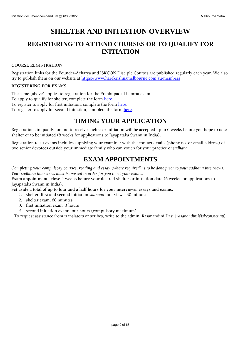# **SHELTER AND INITIATION OVERVIEW**

# <span id="page-8-1"></span><span id="page-8-0"></span>**REGISTERING TO ATTEND COURSES OR TO QUALIFY FOR INITIATION**

### **COURSE REGISTRATION**

Registration links for the Founder-Acharya and ISKCON Disciple Courses are published regularly each year. We also try to publish them on our website at<https://www.harekrishnamelbourne.com.au/members>

### **REGISTERING FOR EXAMS**

The same (above) applies to registration for the Prabhupada Lilamrta exam.

To apply to qualify for shelter, complete the form [here.](https://forms.office.com/Pages/ResponsePage.aspx?id=7mxca9gWnUC3Q-wH66_cCUjU7Kq5qYxNh02_gjGrdohUQ0swVDU0MVk2RzBMRDUyM1MyNU9MS1hNVi4u)

To register to apply for first initiation, complete the form [here.](https://forms.office.com/Pages/ResponsePage.aspx?id=7mxca9gWnUC3Q-wH66_cCUjU7Kq5qYxNh02_gjGrdohUMFgwTzJHOExLU1c4S01URlVXUjVJQUhUUy4u)

<span id="page-8-2"></span>To register to apply for second initiation, complete the form [here.](https://forms.office.com/Pages/ResponsePage.aspx?id=7mxca9gWnUC3Q-wH66_cCUjU7Kq5qYxNh02_gjGrdohUQkYyM0NSNUlJUVQzQVpGQTEzUjNPT0cyVS4u)

# **TIMING YOUR APPLICATION**

Registrations to qualify for and to receive shelter or initiation will be accepted up to 6 weeks before you hope to take shelter or to be initiated (8 weeks for applications to Jayapataka Swami in India).

<span id="page-8-3"></span>Registration to sit exams includes supplying your examiner with the contact details (phone no. or email address) of two senior devotees outside your immediate family who can vouch for your practice of *sadhana*.

# **EXAM APPOINTMENTS**

*Completing your compulsory courses, reading and essay (where required) is to be done prior to your sadhana interviews. Your sadhana interviews must be passed in order for you to sit your exams.*

**Exam appointments close 4 weeks before your desired shelter or initiation date** (6 weeks for applications to Jayapataka Swami in India).

**Set aside a total of up to four and a half hours for your interviews, essays and exams:**

- *1.* shelter, first and second initiation *sadhana* interviews: 30 minutes
- *2.* shelter exam, 60 minutes
- *3.* first initiation exam: 3 hours
- *4.* second initiation exam: four hours (compulsory maximum)

To request assistance from translators or scribes, write to the admin: Rasanandini Dasi (*rasanandini@iskcon.net.au*)*.*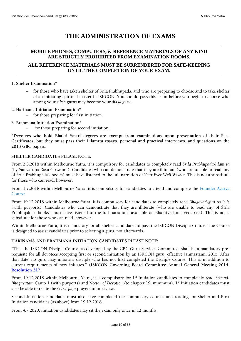# **THE ADMINISTRATION OF EXAMS**

### <span id="page-9-0"></span>**MOBILE PHONES, COMPUTERS, & REFERENCE MATERIALS OF ANY KIND ARE STRICTLY PROHIBITED FROM EXAMINATION ROOMS.**

### **ALL REFERENCE MATERIALS MUST BE SURRENDERED FOR SAFE-KEEPING UNTIL THE COMPLETION OF YOUR EXAM.**

### 1. **Shelter Examination\***

– for those who have taken shelter of Srila Prabhupada, and who are preparing to choose and to take shelter of an initiating spiritual master in ISKCON. You should pass this exam **before** you begin to choose who among your *çékñä gurus* may become your *dékñä guru*.

### 2. **Harinama Initiation Examination\***

– for those preparing for first initiation.

### 3. **Brahmana Initiation Examination\***

for those preparing for second initiation.

**\*Devotees who hold Bhakti Sastri degrees are exempt from examinations upon presentation of their Pass Certificates, but they must pass their Lilamrta essays, personal and practical interviews, and questions on the 2013 GBC papers.**

### **SHELTER CANDIDATES PLEASE NOTE:**

From 2.3.2018 within Melbourne Yatra, it is compulsory for candidates to completely read *Śrīla Prabhupāda-līlāmrta* (by Satsvarupa Dasa Goswami). Candidates who can demonstrate that they are illiterate (who are unable to read any of Çréla Prabhupäda's books) must have listened to the full narration of *Your Ever Well Wisher*. This is not a substitute for those who can read, however.

From 1.7.2018 within Melbourne Yatra, it is compulsory for candidates to attend and complete the [Founder-Acarya](http://bit.ly/FACourse2018)  [Course.](http://bit.ly/FACourse2018)

From 19.12.2018 within Melbourne Yatra, it is compulsory for candidates to completely read *Bhagavad-gétä As It Is*  (with purports). Candidates who can demonstrate that they are illiterate (who are unable to read any of Śrīla Prabhupäda's books) must have listened to the full narration (available on Bhaktivedanta Vedabase). This is not a substitute for those who can read, however.

Within Melbourne Yatra, it is mandatory for all shelter candidates to pass the ISKCON Disciple Course. The Course is designed to assist candidates prior to selecting a guru, not afterwards.

### **HARINAMA AND BRAHMANA INITIATION CANDIDATES PLEASE NOTE:**

"That the ISKCON Disciple Course, as developed by the GBC Guru Services Committee, shall be a mandatory prerequisite for all devotees accepting first or second initiation by an ISKCON guru, effective Janmastami, 2015. After that date, no guru may initiate a disciple who has not first completed the Disciple Course. This is in addition to current requirements of new initiates." (**ISKCON Governing Board Committee Annual General Meeting 2014, [Resolution 317.](http://gbc.iskcon.org/gbc_res/GBCRES14.html)**

From 19.12.2018 within Melbourne Yatra, it is compulsory for 1<sup>st</sup> Initiation candidates to completely read *Śrīmad-Bhägavatam* Canto 1 (with purports) and *Nectar of Devotion (*to chapter 19, minimum). 1 st Initiation candidates must also be able to recite the *Guru-puja* prayers in interview.

Second Initiation candidates must also have completed the compulsory courses and reading for Shelter and First Initiation candidates (as above) from 19.12.2018.

From 4.7 2020, initiation candidates may sit the exam only once in 12 months.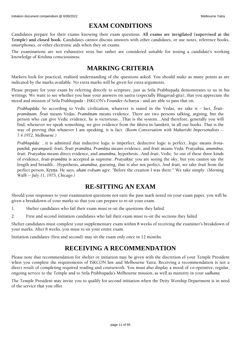# **EXAM CONDITIONS**

<span id="page-10-0"></span>Candidates prepare for their exams knowing their exam questions. **All exams are invigilated (supervised at the Temple) and closed book. C**andidates cannot discuss answers with other candidates, or use notes, reference books, smartphones, or other electronic aids when they sit exams.

The examinations are not exhaustive tests but rather are considered suitable for testing a candidate's working knowledge of Krishna consciousness.

# <span id="page-10-1"></span>**MARKING CRITERIA**

Markers look for practical, realised understanding of the questions asked. You should make as many points as are indicated by the marks available. No extra marks will be given for extra arguments.

Please prepare for your exam by referring directly to scripture, just as Srila Prabhupada demonstrates to us in his writings. We want to see whether you base your answers on *sastra* (especially Bhagavad-gita), that you appreciate the mood and mission of Srila Prabhupada - ISKCON's Founder-Acharya - and are able to pass that on.

*Prabhupāda:* So according to Vedic civilization, whatever is stated in the Vedas, we take it - fact. *Śrutipramāṇam. Śruti* means Vedas. *Pramāṇam* means evidence. There are two persons talking, arguing, but the person who can give Vedic evidence, he is victorious…That is the system…And therefore, generally you will find, whenever we speak something, we give evidence from the *śāstra* in Sanskrit, in all our books. That is the way of proving that whatever I am speaking, it is fact. *(Room Conversation with Maharishi Impersonalists -- 7.4.1972, Melbourne.)*

*Prabhupāda:* ...it is admitted that inductive logic is imperfect; deductive logic is perfect...logic means *śrota*panthā, paramparā, śruti, Śruti pramāna. Pramāna means evidence, and śruti means Veda. Pratyaksa, anumāna, *śruti. Pratyakṣa* means direct evidence, and *anumāna*, hypothesis...And *śruti*, Vedic. So out of these three kinds of evidence, *śruti-pramāṇa* is accepted as supreme. *Pratyakṣa*: you are seeing the sky, but you cannot say the length and breadth…Hypothesis, *anumāna*, guessing, that is also not perfect. And *śruti*, we take *śruti* from the perfect person, Kṛṣṇa. He says, *aham evāsam agre*: "Before the creation I was there." We take simply. *(Morning Walk -- July 11, 1975, Chicago.)*

# <span id="page-10-2"></span>**RE-SITTING AN EXAM**

Should your responses to your examination questions not earn the pass mark noted on your exam paper, you will be given a breakdown of your marks so that you can prepare to re-sit your exam.

1. Shelter candidates who fail their exam must re-sit the questions they failed.

2. First and second initiation candidates who fail their exam must re-sit the sections they failed

Shelter candidates must complete your supplementary exam within 8 weeks of receiving the examiner's breakdown of your marks. After 8 weeks, you must re-sit your entire exam.

<span id="page-10-3"></span>Initiation candidates (first and second) may sit the exam only once in 12 months.

# **RECEIVING A RECOMMENDATION**

Please note that recommendation for shelter or initiation may be given with the discretion of your Temple President when you complete the requirements of ISKCON law and Melbourne Yatra. Receiving a recommendation is not a direct result of completing required reading and coursework. You must also display a mood of co-operative, regular, ongoing service to the Temple and to Srila Prabhupada's Melbourne mission, as well as maturity in your *sadhana*.

The Temple President may invite you to qualify for second initiation when the Deity Worship Department is in need of the service that you offer.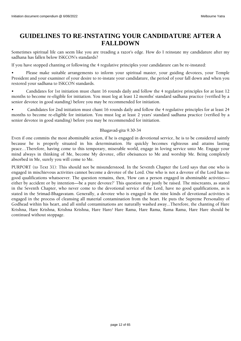# <span id="page-11-0"></span>**GUIDELINES TO RE-INSTATING YOUR CANDIDATURE AFTER A FALLDOWN**

Sometimes spiritual life can seem like you are treading a razor's edge. How do I reinstate my candidature after my sadhana has fallen below ISKCON's standards?

If you have stopped chanting or following the 4 regulative principles your candidature can be re-instated:

• Please make suitable arrangements to inform your spiritual master, your guiding devotees, your Temple President and your examiner of your desire to re-instate your candidature, the period of your fall down and when you restored your sadhana to ISKCON standards.

• Candidates for 1st initiation must chant 16 rounds daily and follow the 4 regulative principles for at least 12 months to become re-eligible for initiation. You must log at least 12 months' standard sadhana practice (verified by a senior devotee in good standing) before you may be recommended for initiation.

• Candidates for 2nd initiation must chant 16 rounds daily and follow the 4 regulative principles for at least 24 months to become re-eligible for initiation. You must log at least 2 years' standard sadhana practice (verified by a senior devotee in good standing) before you may be recommended for initiation.

### Bhagavad-gita 9.30-34

Even if one commits the most abominable action, if he is engaged in devotional service, he is to be considered saintly because he is properly situated in his determination. He quickly becomes righteous and attains lasting peace…Therefore, having come to this temporary, miserable world, engage in loving service unto Me. Engage your mind always in thinking of Me, become My devotee, offer obeisances to Me and worship Me. Being completely absorbed in Me, surely you will come to Me.

PURPORT (to Text 31): This should not be misunderstood. In the Seventh Chapter the Lord says that one who is engaged in mischievous activities cannot become a devotee of the Lord. One who is not a devotee of the Lord has no good qualifications whatsoever. The question remains, then, 'How can a person engaged in abominable activities either by accident or by intention—be a pure devotee?' This question may justly be raised. The miscreants, as stated in the Seventh Chapter, who never come to the devotional service of the Lord, have no good qualifications, as is stated in the Srimad-Bhagavatam. Generally, a devotee who is engaged in the nine kinds of devotional activities is engaged in the process of cleansing all material contamination from the heart. He puts the Supreme Personality of Godhead within his heart, and all sinful contaminations are naturally washed away...Therefore, the chanting of Hare Krishna, Hare Krishna, Krishna Krishna, Hare Hare/ Hare Rama, Hare Rama, Rama Rama, Hare Hare should be continued without stoppage.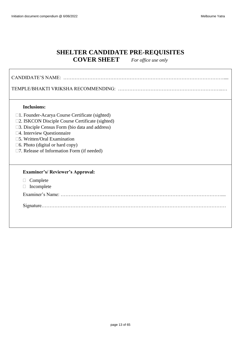# **SHELTER CANDIDATE PRE-REQUISITES COVER SHEET** *For office use only*

<span id="page-12-0"></span>

| <b>Inclusions:</b>                                    |  |  |
|-------------------------------------------------------|--|--|
| $\Box$ 1. Founder-Acarya Course Certificate (sighted) |  |  |
| □2. ISKCON Disciple Course Certificate (sighted)      |  |  |
| □3. Disciple Census Form (bio data and address)       |  |  |
| □4. Interview Questionnaire                           |  |  |
| □5. Written/Oral Examination                          |  |  |
| $\square$ 6. Photo (digital or hard copy)             |  |  |
| $\square$ 7. Release of Information Form (if needed)  |  |  |
|                                                       |  |  |
| <b>Examiner's/ Reviewer's Approval:</b>               |  |  |
| Complete                                              |  |  |
| Incomplete                                            |  |  |
|                                                       |  |  |
|                                                       |  |  |
|                                                       |  |  |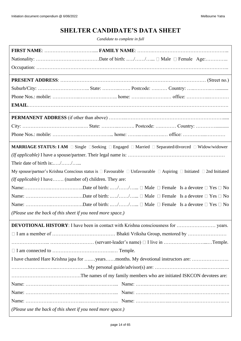# **SHELTER CANDIDATE'S DATA SHEET**

*Candidate to complete in full*

<span id="page-13-0"></span>

| <b>MARRIAGE STATUS: I AM</b> □ Single □ Seeking □ Engaged □ Married □ Separated/divorced □ Widow/widower                                    |  |
|---------------------------------------------------------------------------------------------------------------------------------------------|--|
|                                                                                                                                             |  |
| Their date of birth is://                                                                                                                   |  |
| My spouse/partner's Krishna Conscious status is $\Box$ Favourable $\Box$ Unfavourable $\Box$ Aspiring $\Box$ Initiated $\Box$ 2nd Initiated |  |
| ( <i>If applicable</i> ) I have (number of) children. They are:                                                                             |  |
|                                                                                                                                             |  |
|                                                                                                                                             |  |
|                                                                                                                                             |  |
| (Please use the back of this sheet if you need more space.)                                                                                 |  |
| <b>DEVOTIONAL HISTORY:</b> I have been in contact with Krishna consciousness for<br>years.                                                  |  |
|                                                                                                                                             |  |
|                                                                                                                                             |  |
|                                                                                                                                             |  |
|                                                                                                                                             |  |
|                                                                                                                                             |  |
|                                                                                                                                             |  |
|                                                                                                                                             |  |
|                                                                                                                                             |  |
|                                                                                                                                             |  |
| (Please use the back of this sheet if you need more space.)                                                                                 |  |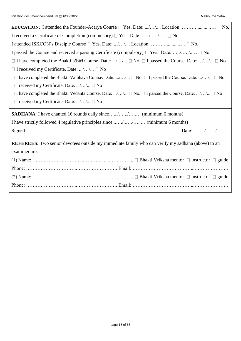| I received a Certificate of Completion (compulsory) $\Box$ Yes. Date: // $\Box$ No                                     |  |  |
|------------------------------------------------------------------------------------------------------------------------|--|--|
| I attended ISKCON's Disciple Course □ Yes. Date: // Location:  □ No.                                                   |  |  |
| I passed the Course and received a passing Certificate (compulsory) $\Box$ Yes. Date: // $\Box$ No                     |  |  |
| $\Box$ I have completed the Bhakti-sastri Course. Date: // $\Box$ No. $\Box$ I passed the Course. Date: // $\Box$ No   |  |  |
| $\Box$ I received my Certificate. Date: // $\Box$ No                                                                   |  |  |
| $\Box$ I have completed the Bhakti Vaibhava Course. Date: // $\Box$ No. $\Box$ I passed the Course. Date: // $\Box$ No |  |  |
| $\Box$ I received my Certificate. Date: // $\Box$ No                                                                   |  |  |
| $\Box$ I have completed the Bhakti Vedanta Course. Date: // $\Box$ No. $\Box$ I passed the Course. Date: // $\Box$ No  |  |  |
| $\Box$ I received my Certificate. Date: // $\Box$ No                                                                   |  |  |
|                                                                                                                        |  |  |
| <b>SADHANA</b> : I have chanted 16 rounds daily since// (minimum 6 months)                                             |  |  |
| I have strictly followed 4 regulative principles since// (minimum 6 months)                                            |  |  |
|                                                                                                                        |  |  |
| <b>REFEREES:</b> Two senior devotees outside my immediate family who can verify my sadhana (above) to an               |  |  |
| examiner are:                                                                                                          |  |  |
|                                                                                                                        |  |  |
|                                                                                                                        |  |  |
|                                                                                                                        |  |  |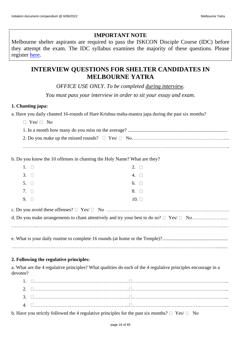## **IMPORTANT NOTE**

Melbourne shelter aspirants are required to pass the ISKCON Disciple Course (IDC) before they attempt the exam. The IDC syllabus examines the majority of these questions. Please register [here.](http://www.harekrishnamelbourne.com.au/contact.html)

# <span id="page-15-0"></span>**INTERVIEW QUESTIONS FOR SHELTER CANDIDATES IN MELBOURNE YATRA**

*OFFICE USE ONLY. To be completed during interview.* 

*You must pass your interview in order to sit your essay and exam.*

### **1. Chanting japa:**

a. Have you daily chanted 16-rounds of Hare Krishna maha-mantra japa during the past six months?

 $\Box$  Yes/  $\Box$  No

………………………………………………………………………………………………………………..

b. Do you know the 10 offenses in chanting the Holy Name? What are they?

| $1. \square$ |           | $2. \square$ |  |
|--------------|-----------|--------------|--|
| $3. \square$ |           | 4. $\square$ |  |
| 5. $\Box$    |           | 6. $\square$ |  |
|              | 7. $\Box$ | 8. $\square$ |  |
| $9.$ $\Box$  |           | 10.          |  |
|              |           |              |  |

### **2. Following the regulative principles:**

a. What are the 4 regulative principles? What qualities do each of the 4 regulative principles encourage in a devotee?

b. Have you strictly followed the 4 regulative principles for the past six months?  $\Box$  Yes/  $\Box$  No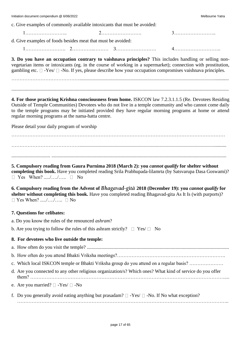c. Give examples of commonly available intoxicants that must be avoided:

1…………………….. 2……………………. 3…………………….. d. Give examples of foods besides meat that must be avoided: 1……………………. 2…………..……… 3……………………. 4………………………..

**3. Do you have an occupation contrary to vaishnava principles?** This includes handling or selling nonvegetarian items or intoxicants (eg. in the course of working in a supermarket); connection with prostitution, gambling etc.  $\Box$  -Yes/  $\Box$  -No. If yes, please describe how your occupation compromises vaishnava principles.

……………………………………...........................................................................................................................

...................................................................................................................................................................................

**4. For those practicing Krishna consciousness from home.** ISKCON law 7.2.3.1.1.5 (Re. Devotees Residing Outside of Temple Communities) Devotees who do not live in a temple community and who cannot come daily to the temple programs may be initiated provided they have regular morning programs at home or attend regular morning programs at the nama-hatta centre.

Please detail your daily program of worship

…………………………………………………………………………………………………………………… …………………………………….........................................................................................................................

................................ ................................................................................................................................................

**5. Compulsory reading from Gaura Purnima 2018 (March 2): you** *cannot qualify* **for shelter without completing this book.** Have you completed reading Srila Prabhupada-lilamrta (by Satsvarupa Dasa Goswami)? □ Yes When? ...../..../..... □ No

**6. Compulsory reading from the Advent of** *Bhagavad-gétä* **2018 (December 19): you** *cannot qualify* **for shelter without completing this book.** Have you completed reading Bhagavad-gita As It Is (with purports)?  $\Box$  Yes When? ...../..../.....  $\Box$  No

### **7. Questions for celibates:**

a. Do you know the rules of the renounced *ashram*?

b. Are you trying to follow the rules of this ashram strictly?  $\Box$  Yes/  $\Box$  No

### **8. For devotees who live outside the temple:**

a. How often do you visit the temple? .....................................................................................................................

b. How often do you attend Bhakti Vriksha meetings?………………………………………………………….

c. Which local ISKCON temple or Bhakti Vriksha group do you attend on a regular basis? …………………

- d. Are you connected to any other religious organization/s? Which ones? What kind of service do you offer them? …………………………………………………………………………………………………………....
- e. Are you married?  $\Box$  -Yes/  $\Box$  -No

| f. Do you generally avoid eating anything but prasadam? $\Box$ -Yes/ $\Box$ -No. If No what exception? |
|--------------------------------------------------------------------------------------------------------|
|                                                                                                        |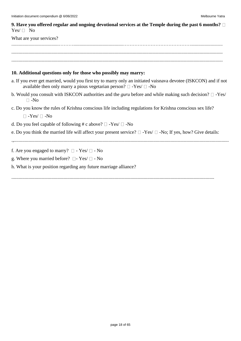| 9. Have you offered regular and ongoing devotional services at the Temple during the past 6 months? $\Box$<br>$Yes / \Box No$                                                                         |  |  |
|-------------------------------------------------------------------------------------------------------------------------------------------------------------------------------------------------------|--|--|
| What are your services?                                                                                                                                                                               |  |  |
|                                                                                                                                                                                                       |  |  |
|                                                                                                                                                                                                       |  |  |
| 10. Additional questions only for those who possibly may marry:                                                                                                                                       |  |  |
| a. If you ever get married, would you first try to marry only an initiated vaisnava devotee (ISKCON) and if not<br>available then only marry a pious vegetarian person? $\square$ -Yes/ $\square$ -No |  |  |
| b. Would you consult with ISKCON authorities and the <i>guru</i> before and while making such decision? $\square$ -Yes/<br>$\square$ -No                                                              |  |  |
| c. Do you know the rules of Krishna conscious life including regulations for Krishna conscious sex life?                                                                                              |  |  |
| $\Box$ -Yes/ $\Box$ -No                                                                                                                                                                               |  |  |
| d. Do you feel capable of following # c above? $\square$ -Yes/ $\square$ -No                                                                                                                          |  |  |
| e. Do you think the married life will affect your present service? $\Box$ -Yes/ $\Box$ -No; If yes, how? Give details:                                                                                |  |  |
| f. Are you engaged to marry? $\square$ - Yes/ $\square$ - No                                                                                                                                          |  |  |
| g. Where you married before? $\square$ - Yes/ $\square$ - No                                                                                                                                          |  |  |
| h. What is your position regarding any future marriage alliance?                                                                                                                                      |  |  |
|                                                                                                                                                                                                       |  |  |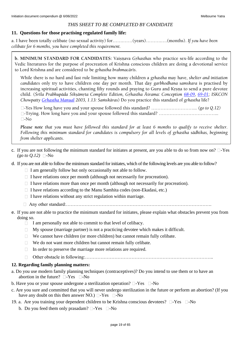### *THIS SHEET TO BE COMPLETED BY CANDIDATE*

### **11. Questions for those practising regulated family life:**

a. I have been totally celibate (no sexual activity) for…….……(years)……….….(months). *If you have been celibate for 6 months, you have completed this requirement.*

**b. MINIMUM STANDARD FOR CANDIDATES:** Vaisnava *Grhasthas* who practice sex-life according to the Vedic literatures for the purpose of procreation of Krishna conscious children are doing a devotional service to Lord Krishna and are considered to be *grhastha brahmacārīs*.

While there is no hard and fast rule limiting how many children a grhastha may have, shelter and initiation *candidates* only try to have children one day per month. That day *garbhodhana samskara* is practised by increasing spiritual activities, chanting fifty rounds and praying to Guru and Krsna to send a pure devotee child. (*Śrīla Prabhupāda Śikṣāmṛta Complete Edition, Gṛhastha Āśrama: Conception [68-09,](http://vanisource.org/wiki/Letter_to_Satsvarupa_--_San_Francisco_20_September,_1968?terms=sex+life+sex+life+wife+sex+life+sex+life+sex+life+sex+life+wife+wife+sex+life+sex+life&first=.%20The%20principle%20of%20marriage%20is%20on%20the%20background%20of&last=it%20completely%20then%20it%20is%20a%20great%20victory%20for%20him.) [69-01;](http://vanisource.org/wiki/Letter_to_Syama_--_Los_Angeles_18_January,_1969?terms=the%20husband%20and%20wife%20should%20chant%20at%20least%20fifty%20rounds%20before%20going%20to%20sex&first=Please%20accept%20my%20blessings.%20I%20beg%20to%20acknowledge%20receipt%20of&last=the%20revision%20is%20advanced%20in%20the%201st%20Canto%20of%20Srimad-Bhagavatam.) ISKCON Chowpatty Grhastha Manual* 2003, 1.13: Samskāras) Do you practice this standard of grhastha life?

-Yes How long have you and your spouse followed this standard? ………………………... *(go to Q.12)* -Trying. How long have you and your spouse followed this standard? ………………………………...  $\Box$ -No

*Please note that you must have followed this standard for at least 6 months to qualify to receive shelter. Following this minimum standard for candidates is compulsory for all levels of grhastha sädhikas, beginning from shelter applicants.*

- c. If you are not following the minimum standard for initiates at present, are you able to do so from now on?  $\Box$ -Yes  $(go \ to \ Q.12)$  -No
- d. If you are not able to follow the minimum standard for initiates, which of the following levels are you able to follow?
	- $\Box$  I am generally follow but only occasionally not able to follow.
	- $\Box$  I have relations once per month (although not necessarily for procreation).
	- $\Box$  I have relations more than once per month (although not necessarily for procreation).
	- $\Box$  I have relations according to the Manu Samhita codes (non-Ekadasi, etc.)
	- $\Box$  I have relations without any strict regulation within marriage.
	- Any other standard:………………………………………………………………………………….
- e. If you are not able to practice the minimum standard for initiates, please explain what obstacles prevent you from doing so.
	- $\Box$  I am personally not able to commit to that level of celibacy.
	- $\Box$  My spouse (marriage partner) is not a practicing devotee which makes it difficult.
	- $\Box$  We cannot have children (or more children) but cannot remain fully celibate.
	- $\Box$  We do not want more children but cannot remain fully celibate.
	- $\Box$  In order to preserve the marriage more relations are required.
	- Other obstacle in following:………………………………………………………………………..

### **12. Regarding family planning matters:**

- a. Do you use modern family planning techniques (contraceptives)? Do you intend to use them or to have an abortion in the future?  $\square$ -Yes  $\square$ -No
- b. Have you or your spouse undergone a sterilization operation?  $\square$ -Yes  $\square$ -No
- c. Are you sure and committed that you will never undergo sterilization in the future or perform an abortion? (If you have any doubt on this then answer NO.)  $\Box$ -Yes  $\Box$ -No
- 19. a. Are you training your dependent children to be Krishna conscious devotees?  $\Box$ -Yes  $\Box$ -No
	- b. Do you feed them only prasadam?  $\Box$ -Yes  $\Box$ -No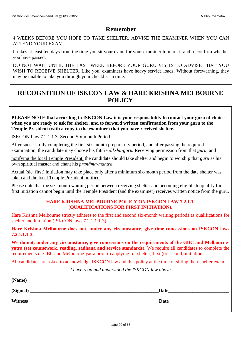### **Remember**

4 WEEKS BEFORE YOU HOPE TO TAKE SHELTER, ADVISE THE EXAMINER WHEN YOU CAN ATTEND YOUR EXAM.

It takes at least ten days from the time you sit your exam for your examiner to mark it and to confirm whether you have passed.

DO NOT WAIT UNTIL THE LAST WEEK BEFORE YOUR GURU VISITS TO ADVISE THAT YOU WISH TO RECEIVE SHELTER. Like you, examiners have heavy service loads. Without forewarning, they may be unable to take you through your checklist in time.

# <span id="page-19-0"></span>**RECOGNITION OF ISKCON LAW & HARE KRISHNA MELBOURNE POLICY**

**PLEASE NOTE that according to ISKCON Law it is your responsibility to contact your guru of choice when you are ready to ask for shelter, and to forward written confirmation from your guru to the Temple President (with a copy to the examiner) that you have received shelter.**

ISKCON Law 7.2.1.1.3: Second Six-month Period

After successfully completing the first six-month preparatory period, and after passing the required examination, the candidate may choose his future *dīkshā-guru.* Receiving permission from that *guru,* and

notifying the local Temple President, the candidate should take shelter and begin to worship that *guru* as his own spiritual master and chant his *pranāma-mantra.* 

Actual (sic. first) initiation may take place only after a minimum six-month period from the date shelter was taken and the local Temple President notified.

Please note that the six-month waiting period between receiving shelter and becoming eligible to qualify for first initiation cannot begin until the Temple President (and the examiner) receives written notice from the guru.

### **HARE KRISHNA MELBOURNE POLICY ON ISKCON LAW 7.2.1.1. (QUALIFICATIONS FOR FIRST INITIATION).**

Hare Krishna Melbourne strictly adheres to the first and second six-month waiting periods as qualifications for shelter and initiation (ISKCON laws 7.2.1.1.1-3).

**Hare Krishna Melbourne does not, under any circumstance, give time-concessions on ISKCON laws 7.2.1.1.1-3.** 

We do not, under any circumstance, give concessions on the requirements of the GBC and Melbourne**yatra (set coursework, reading, sadhana and service standards).** We require all candidates to complete the requirements of GBC and Melbourne-yatra prior to applying for shelter, first (or second) initiation.

All candidates are asked to acknowledge ISKCON law and this policy at the time of sitting their shelter exam.

*I have read and understood the ISKCON law above*

| (Name)         |             |
|----------------|-------------|
| (Signed)       | Date        |
| <b>Witness</b> | <b>Date</b> |
|                |             |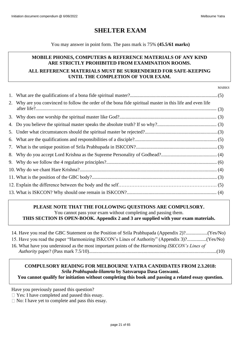# <span id="page-20-0"></span>**SHELTER EXAM**

### You may answer in point form. The pass mark is 75% **(45.5/61 marks)**

### **MOBILE PHONES, COMPUTERS & REFERENCE MATERIALS OF ANY KIND ARE STRICTLY PROHIBITED FROM EXAMINATION ROOMS. ALL REFERENCE MATERIALS MUST BE SURRENDERED FOR SAFE-KEEPING UNTIL THE COMPLETION OF YOUR EXAM.**

MARKS

| 2. Why are you convinced to follow the order of the bona fide spiritual master in this life and even life |  |
|-----------------------------------------------------------------------------------------------------------|--|
|                                                                                                           |  |
|                                                                                                           |  |
|                                                                                                           |  |
|                                                                                                           |  |
|                                                                                                           |  |
|                                                                                                           |  |
|                                                                                                           |  |
|                                                                                                           |  |
|                                                                                                           |  |
|                                                                                                           |  |
|                                                                                                           |  |

# **PLEASE NOTE THAT THE FOLLOWING QUESTIONS ARE COMPULSORY.** You cannot pass your exam without completing and passing them.

**THIS SECTION IS OPEN-BOOK. Appendix 2 and 3 are supplied with your exam materials.**

| 14. Have you read the GBC Statement on the Position of Srila Prabhupada (Appendix 2)?(Yes/No)         |  |
|-------------------------------------------------------------------------------------------------------|--|
| 15. Have you read the paper "Harmonizing ISKCON's Lines of Authority" (Appendix 3)?(Yes/No)           |  |
| 16. What have you understood as the most important points of the <i>Harmonizing ISKCON's Lines of</i> |  |
|                                                                                                       |  |

### **COMPULSORY READING FOR MELBOURNE YATRA CANDIDATES FROM 2.3.2018:** *Srila Prabhupada-lilamrta* **by Satsvarupa Dasa Goswami.**

**You cannot qualify for initiation without completing this book and passing a related essay question.**

Have you previously passed this question?

□ Yes: I have completed and passed this essay.

 $\Box$  No: I have yet to complete and pass this essay.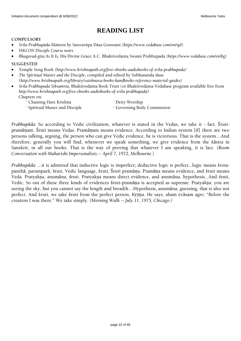# <span id="page-21-0"></span>**READING LIST**

### **COMPULSORY**

- *Çréla Prabhupäda-lélämåta* by Satsvarüpa Däsa Goswami *(https://www.vedabase.com/en/spl)*
- *ISKCON Disciple Course notes*
- *Bhagavad-gita As It Is,* His Divine Grace A.C. Bhaktivedanta Swami Prabhupada *(https://www.vedabase.com/en/bg)*

**SUGGESTED**

- Temple Song Book *[\(http://www.krishnapath.org/free-ebooks-audiobooks-of-srila-prabhupada\)](http://www.krishnapath.org/free-ebooks-audiobooks-of-srila-prabhupada)*
- *The Spiritual Master and the Disciple*, compiled and edited by Subhananda dasa (*[http://www.krishnapath.org/library/vaishnava-books-handbooks-reference-material-guides\)](http://www.krishnapath.org/library/vaishnava-books-handbooks-reference-material-guides)*
- *Srila Prabhupada Siksamrta*, Bhaktivedanta Book Trust (or Bhaktivedanta Vedabase program available free from *[http://www.krishnapath.org/free-ebooks-audiobooks-of-srila-prabhupada\)](http://www.krishnapath.org/free-ebooks-audiobooks-of-srila-prabhupada)* Chapters on:
	- · Chanting Hare Krishna · Deity Worship
		-
	- · Spiritual Master and Disciple · Governing Body Commission

*Prabhupāda*: So according to Vedic civilization, whatever is stated in the Vedas, we take it - fact. Śrutipramāṇam. Śruti means Vedas. Pramāṇam means evidence. According to Indian system [if] there are two persons talking, arguing, the person who can give Vedic evidence, he is victorious. That is the system…And therefore, generally you will find, whenever we speak something, we give evidence from the śāstra in Sanskrit, in all our books. That is the way of proving that whatever I am speaking, it is fact. *(Room Conversation with Maharishi Impersonalists -- April 7, 1972, Melbourne.)*

*Prabhupāda*: ...it is admitted that inductive logic is imperfect; deductive logic is perfect...logic means śrotapanthā, paramparā, śruti, Vedic language, śruti. Śruti pramāṇa. Pramāṇa means evidence, and śruti means Veda. Pratyakṣa, anumāna, śruti. Pratyakṣa means direct evidence, and anumāna, hypothesis...And śruti, Vedic. So out of these three kinds of evidences śruti-pramāna is accepted as supreme. Pratyaksa: you are seeing the sky, but you cannot say the length and breadth…Hypothesis, anumāna, guessing, that is also not perfect. And śruti, we take śruti from the perfect person, Kṛṣṇa. He says, aham evāsam agre: "Before the creation I was there." We take simply. *(Morning Walk -- July 11, 1975, Chicago.)*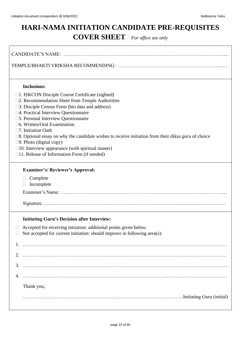# <span id="page-22-0"></span>**HARI-NAMA INITIATION CANDIDATE PRE-REQUISITES COVER SHEET** *For office use only*

| <b>Inclusions:</b>                                                                                                                                                                                                                                                                                                                                                                                                                                                                                                                                                                              |  |  |  |
|-------------------------------------------------------------------------------------------------------------------------------------------------------------------------------------------------------------------------------------------------------------------------------------------------------------------------------------------------------------------------------------------------------------------------------------------------------------------------------------------------------------------------------------------------------------------------------------------------|--|--|--|
| $\Box$ 1. ISKCON Disciple Course Certificate (sighted)<br>□2. Recommendation Sheet from Temple Authorities<br>$\square$ 3. Disciple Census Form (bio data and address)<br>□4. Practical Interview Questionnaire<br>□5. Personal Interview Questionnaire<br>□6. Written/Oral Examination<br>□7. Initiation Oath<br>$\square$ 8. Optional essay on why the candidate wishes to receive initiation from their diksa <i>guru</i> of choice<br>$\square$ 9. Photo (digital copy)<br>$\square$ 10. Interview appearance (with spiritual master)<br>$\Box$ 11. Release of Information Form (if needed) |  |  |  |
| <b>Examiner's/ Reviewer's Approval:</b>                                                                                                                                                                                                                                                                                                                                                                                                                                                                                                                                                         |  |  |  |
| Complete<br>u.<br>Incomplete                                                                                                                                                                                                                                                                                                                                                                                                                                                                                                                                                                    |  |  |  |
|                                                                                                                                                                                                                                                                                                                                                                                                                                                                                                                                                                                                 |  |  |  |
|                                                                                                                                                                                                                                                                                                                                                                                                                                                                                                                                                                                                 |  |  |  |
| <b>Initiating Guru's Decision after Interview:</b>                                                                                                                                                                                                                                                                                                                                                                                                                                                                                                                                              |  |  |  |
| $\Box$ Accepted for receiving initiation: additional points given below.<br>Not accepted for current initiation: should improve in following area(s):                                                                                                                                                                                                                                                                                                                                                                                                                                           |  |  |  |
|                                                                                                                                                                                                                                                                                                                                                                                                                                                                                                                                                                                                 |  |  |  |
| 2.                                                                                                                                                                                                                                                                                                                                                                                                                                                                                                                                                                                              |  |  |  |
|                                                                                                                                                                                                                                                                                                                                                                                                                                                                                                                                                                                                 |  |  |  |
| 4.                                                                                                                                                                                                                                                                                                                                                                                                                                                                                                                                                                                              |  |  |  |
| Thank you,                                                                                                                                                                                                                                                                                                                                                                                                                                                                                                                                                                                      |  |  |  |
|                                                                                                                                                                                                                                                                                                                                                                                                                                                                                                                                                                                                 |  |  |  |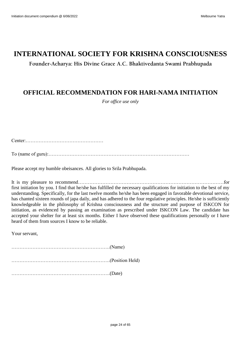# **INTERNATIONAL SOCIETY FOR KRISHNA CONSCIOUSNESS**

**Founder-Acharya: His Divine Grace A.C. Bhaktivedanta Swami Prabhupada**

# <span id="page-23-0"></span>**OFFICIAL RECOMMENDATION FOR HARI-NAMA INITIATION**

*For office use only*

Center:…………………………………………

To (name of guru):……………………………………………………………………………

Please accept my humble obeisances. All glories to Srila Prabhupada.

It is my pleasure to recommend………………………………………………………………………………for first initiation by you. I find that he/she has fulfilled the necessary qualifications for initiation to the best of my understanding. Specifically, for the last twelve months he/she has been engaged in favorable devotional service, has chanted sixteen rounds of japa daily, and has adhered to the four regulative principles. He/she is sufficiently knowledgeable in the philosophy of Krishna consciousness and the structure and purpose of ISKCON for initiation, as evidenced by passing an examination as prescribed under ISKCON Law. The candidate has accepted your shelter for at least six months. Either I have observed these qualifications personally or I have heard of them from sources I know to be reliable.

Your servant,

…………………………………………………….(Name) …………………………………………………….(Position Held) …………………………………………………….(Date)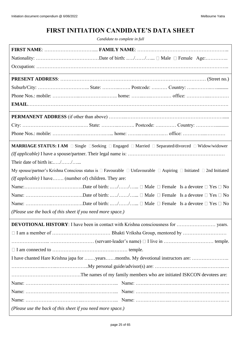# **FIRST INITIATION CANDIDATE'S DATA SHEET**

*Candidate to complete in full*

<span id="page-24-0"></span>

| MARRIAGE STATUS: I AM □ Single □ Seeking □ Engaged □ Married □ Separated/divorced □ Widow/widower                                           |
|---------------------------------------------------------------------------------------------------------------------------------------------|
|                                                                                                                                             |
| Their date of birth is://                                                                                                                   |
| My spouse/partner's Krishna Conscious status is $\Box$ Favourable $\Box$ Unfavourable $\Box$ Aspiring $\Box$ Initiated $\Box$ 2nd Initiated |
| (If applicable) I have (number of) children. They are:                                                                                      |
|                                                                                                                                             |
|                                                                                                                                             |
|                                                                                                                                             |
| (Please use the back of this sheet if you need more space.)                                                                                 |
|                                                                                                                                             |
|                                                                                                                                             |
|                                                                                                                                             |
| $\Box$ I am connected to $\dots\dots\dots\dots\dots\dots\dots\dots\dots\dots\dots\dots\dots\dots\dots\dots$                                 |
|                                                                                                                                             |
|                                                                                                                                             |
|                                                                                                                                             |
|                                                                                                                                             |
|                                                                                                                                             |
|                                                                                                                                             |
| (Please use the back of this sheet if you need more space.)                                                                                 |
|                                                                                                                                             |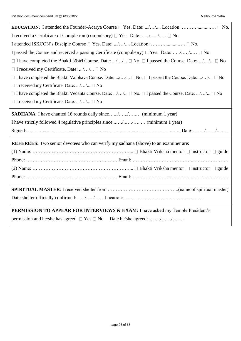| I received a Certificate of Completion (compulsory) $\Box$ Yes. Date: // $\Box$ No                                     |  |  |  |
|------------------------------------------------------------------------------------------------------------------------|--|--|--|
| I attended ISKCON's Disciple Course $\square$ Yes. Date: // Location: $\square$ No.                                    |  |  |  |
| I passed the Course and received a passing Certificate (compulsory) $\Box$ Yes. Date: // $\Box$ No                     |  |  |  |
| $\Box$ I have completed the Bhakti-satisfic Course. Date: // $\Box$ No. $\Box$ I passed the Course. Date: // $\Box$ No |  |  |  |
| $\Box$ I received my Certificate. Date: // $\Box$ No                                                                   |  |  |  |
| $\Box$ I have completed the Bhakti Vaibhava Course. Date: // $\Box$ No. $\Box$ I passed the Course. Date: // $\Box$ No |  |  |  |
| □ I received my Certificate. Date: // □ No                                                                             |  |  |  |
| $\Box$ I have completed the Bhakti Vedanta Course. Date: // $\Box$ No. $\Box$ I passed the Course. Date: // $\Box$ No  |  |  |  |
| □ I received my Certificate. Date: // □ No                                                                             |  |  |  |
| <b>SADHANA</b> : I have chanted 16 rounds daily since// (minimum 1 year)                                               |  |  |  |
| I have strictly followed 4 regulative principles since // (minimum 1 year)                                             |  |  |  |
|                                                                                                                        |  |  |  |
| <b>REFEREES:</b> Two senior devotees who can verify my sadhana (above) to an examiner are:                             |  |  |  |
|                                                                                                                        |  |  |  |
|                                                                                                                        |  |  |  |
|                                                                                                                        |  |  |  |
|                                                                                                                        |  |  |  |
|                                                                                                                        |  |  |  |
|                                                                                                                        |  |  |  |
|                                                                                                                        |  |  |  |
| <b>PERMISSION TO APPEAR FOR INTERVIEWS &amp; EXAM:</b> I have asked my Temple President's                              |  |  |  |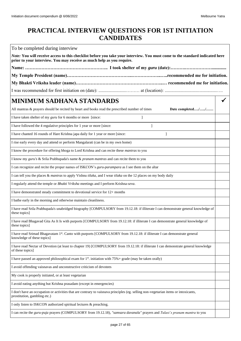# <span id="page-26-0"></span>**PRACTICAL INTERVIEW QUESTIONS FOR 1ST INITIATION CANDIDATES**

To be completed during interview

| Note: You will receive access to this checklist before you take your interview. You must come to the standard indicated here<br>prior to your interview. You may receive as much help as you require. |  |
|-------------------------------------------------------------------------------------------------------------------------------------------------------------------------------------------------------|--|
|                                                                                                                                                                                                       |  |
|                                                                                                                                                                                                       |  |
|                                                                                                                                                                                                       |  |
|                                                                                                                                                                                                       |  |
| <b>MINIMUM SADHANA STANDARDS</b>                                                                                                                                                                      |  |
| All mantras & prayers should be recited by heart and books read the prescribed number of times<br>Date completed//                                                                                    |  |
| I have taken shelter of my guru for 6 months or more [since:                                                                                                                                          |  |
| I have followed the 4 regulative principles for 1 year or more [since:<br>$\mathbf{1}$                                                                                                                |  |
| I have chanted 16 rounds of Hare Krishna japa daily for 1 year or more [since:<br>1                                                                                                                   |  |
| I rise early every day and attend or perform Mangalarati (can be in my own home)                                                                                                                      |  |
| I know the procedure for offering bhoga to Lord Krishna and can recite these <i>mantras</i> to you                                                                                                    |  |
| I know my guru's & Srila Prabhupada's name & pranam mantras and can recite them to you                                                                                                                |  |
| I can recognize and recite the proper names of ISKCON's guru-parampara as I see them on the altar                                                                                                     |  |
| I can tell you the places & mantras to apply Vishnu tilaka, and I wear tilaka on the 12 places on my body daily                                                                                       |  |
| I regularly attend the temple or Bhakti Vriksha meetings and I perform Krishna-seva.                                                                                                                  |  |
| I have demonstrated steady commitment to devotional service for 12+ months                                                                                                                            |  |
| I bathe early in the morning and otherwise maintain cleanliness.                                                                                                                                      |  |
| I have read Srila Prabhupada's unabridged biography [COMPULSORY from 19.12.18: if illiterate I can demonstrate general knowledge of<br>these topics]                                                  |  |
| I have read Bhagavad Gita As It Is with purports [COMPULSORY from 19.12.18: if illiterate I can demonstrate general knowledge of<br>these topics]                                                     |  |
| I have read Srimad Bhagavatam 1st. Canto with purports [COMPULSORY from 19.12.18: if illiterate I can demonstrate general<br>knowledge of these topics]                                               |  |
| I have read Nectar of Devotion (at least to chapter 19) [COMPULSORY from 19.12.18: if illiterate I can demonstrate general knowledge<br>of these topics]                                              |  |
| I have passed an approved philosophical exam for $1st$ , initiation with 75% + grade (may be taken orally)                                                                                            |  |
| I avoid offending vaisnavas and unconstructive criticism of devotees                                                                                                                                  |  |
| My cook is properly initiated, or at least vegetarian                                                                                                                                                 |  |
| I avoid eating anything but Krishna prasadam (except in emergencies)                                                                                                                                  |  |
| I don't have an occupation or activities that are contrary to vaisnava principles (eg. selling non-vegetarian items or intoxicants,<br>prostitution, gambling etc.)                                   |  |
| I only listen to ISKCON authorized spiritual lectures & preaching.                                                                                                                                    |  |
| I can recite the guru-puja prayers (COMPULSORY from 19.12.18), "samsara davanala" prayers and Tulasi's pranam mantra to you                                                                           |  |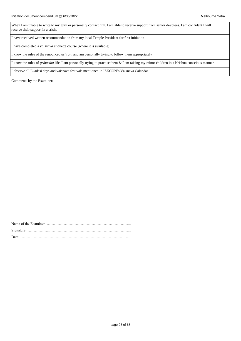| When I am unable to write to my guru or personally contact him, I am able to receive support from senior devotees. I am confident I will<br>receive their support in a crisis. |  |
|--------------------------------------------------------------------------------------------------------------------------------------------------------------------------------|--|
| I have received written recommendation from my local Temple President for first initiation                                                                                     |  |
| I have completed a <i>vaisnava</i> etiquette course (where it is available)                                                                                                    |  |
| I know the rules of the renounced <i>ashram</i> and am personally trying to follow them appropriately                                                                          |  |
| I know the rules of <i>grihastha</i> life. I am personally trying to practise them & I am raising my minor children in a Krishna conscious manner                              |  |
| I observe all Ekadasi days and vaisnava festivals mentioned in ISKCON's Vaisnava Calendar                                                                                      |  |

Comments by the Examiner: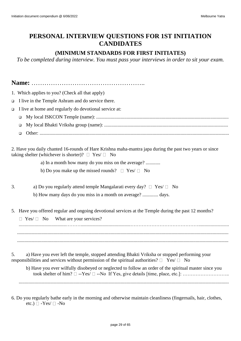# <span id="page-28-0"></span>**PERSONAL INTERVIEW QUESTIONS FOR 1ST INITIATION CANDIDATES**

### **(MINIMUM STANDARDS FOR FIRST INITIATES)**

*To be completed during interview. You must pass your interviews in order to sit your exam.*

**Name:** ……………………………………………..

- 1. Which applies to you? (Check all that apply)
- ❑ I live in the Temple Ashram and do service there.
- ❑ I live at home and regularly do devotional service at:
	- ❑ My local ISKCON Temple (name): .............................................................................................................
	- ❑ My local Bhakti Vriksha group (name): ......................................................................................................
	- ❑ Other: ............................................................................................................................................................

2. Have you daily chanted 16-rounds of Hare Krishna maha-mantra japa during the past two years or since taking shelter (whichever is shorter)?  $\Box$  Yes/  $\Box$  No

a) In a month how many do you miss on the average? ............

- b) Do you make up the missed rounds?  $\Box$  Yes/  $\Box$  No
- 3. a) Do you regularly attend temple Mangalarati every day?  $\Box$  Yes/  $\Box$  No
	- b) How many days do you miss in a month on average? ............. days.
- 5. Have you offered regular and ongoing devotional services at the Temple during the past 12 months?

 $\Box$  Yes/  $\Box$  No What are your services? .......................................……….........................................……………………………………......................... .............................................................................................................................................................................. ..............................................................................................................................................................................

5. a) Have you ever left the temple, stopped attending Bhakti Vriksha or stopped performing your responsibilities and services without permission of the spiritual authorities?  $\Box$  Yes/  $\Box$  No

b) Have you ever wilfully disobeyed or neglected to follow an order of the spiritual master since you took shelter of him?  $\Box$  --Yes/  $\Box$  --No If Yes, give details [time, place, etc.]: …………………………

.............................................................................................................................................................................

6. Do you regularly bathe early in the morning and otherwise maintain cleanliness (fingernails, hair, clothes, etc.)  $\Box$  -Yes/  $\Box$  -No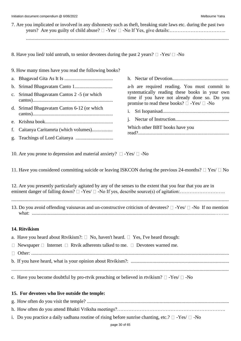| 7. Are you implicated or involved in any dishonesty such as theft, breaking state laws etc. during the past two |  |
|-----------------------------------------------------------------------------------------------------------------|--|
|                                                                                                                 |  |
|                                                                                                                 |  |
|                                                                                                                 |  |

8. Have you lied/ told untruth, to senior devotees during the past 2 years?  $\Box$  -Yes/  $\Box$  -No

9. How many times have you read the following books?

- a. Bhagavad Gita As It Is ........................................
- b. Srimad Bhagavatam Canto 1...............................
- c. Srimad Bhagavatam Cantos 2 -5 (or which cantos)..................................................................
- d. Srimad Bhagavatam Cantos 6-12 (or which cantos)..................................................................
- e. Krishna book........................................................
- f. Caitanya Caritamrta (which volumes).................
- g. Teachings of Lord Caitanya ...............................

a-h are required reading. You must commit to systematically reading these books in your own time if you have not already done so. Do you promise to read these books?  $\square$  -Yes/  $\square$  -No

h. Nectar of Devotion..............................................

i. Sri Isopanisad.......................................................

j. Nectar of Instruction............................................

Which other BBT books have you

10. Are you prone to depression and material anxiety?  $\Box$  -Yes/  $\Box$  -No

11. Have you considered committing suicide or leaving ISKCON during the previous 24-months?  $\Box$  Yes/  $\Box$  No

12. Are you presently particularly agitated by any of the senses to the extent that you fear that you are in eminent danger of falling down? -Yes/ -No If yes, describe source(s) of agitation:……………………….

................................................................................................................................................................................... 13. Do you avoid offending vaisnavas and un-constructive criticism of devotees?  $\Box$  -Yes/  $\Box$  -No If no mention what: .......................................................................................................................................................……...

### **14. Ritvikism**

| a. Have you heard about Rtvikism?: $\Box$ No, haven't heard. $\Box$ Yes, I've heard through:              |
|-----------------------------------------------------------------------------------------------------------|
| $\Box$ Newspaper $\Box$ Internet $\Box$ Rtvik adherents talked to me. $\Box$ Devotees warned me.          |
|                                                                                                           |
|                                                                                                           |
|                                                                                                           |
| c. Have you become doubtful by pro-rtvik preaching or believed in rtvikism? $\square$ -Yes/ $\square$ -No |

### **15. For devotees who live outside the temple:**

| i. Do you practice a daily sadhana routine of rising before sunrise chanting, etc.? $\Box$ -Yes/ $\Box$ -No |
|-------------------------------------------------------------------------------------------------------------|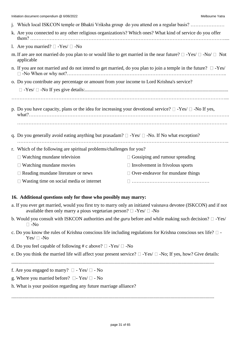| j. Which local ISKCON temple or Bhakti Vriksha group do you attend on a regular basis?                                                      |                                         |  |
|---------------------------------------------------------------------------------------------------------------------------------------------|-----------------------------------------|--|
| k. Are you connected to any other religious organization/s? Which ones? What kind of service do you offer                                   |                                         |  |
| 1. Are you married? $\Box$ -Yes/ $\Box$ -No                                                                                                 |                                         |  |
| m. If are are not married do you plan to or would like to get married in the near future? $\Box$ -Yes/ $\Box$ -No/ $\Box$ Not<br>applicable |                                         |  |
| n. If you are not married and do not intend to get married, do you plan to join a temple in the future? $\square$ -Yes/                     |                                         |  |
| o. Do you contribute any percentage or amount from your income to Lord Krishna's service?                                                   |                                         |  |
|                                                                                                                                             |                                         |  |
|                                                                                                                                             |                                         |  |
| p. Do you have capacity, plans or the idea for increasing your devotional service? $\Box$ -Yes/ $\Box$ -No If yes,                          |                                         |  |
| q. Do you generally avoid eating anything but prasadam? $\Box$ -Yes/ $\Box$ -No. If No what exception?                                      |                                         |  |
| r. Which of the following are spiritual problems/challenges for you?                                                                        |                                         |  |
| $\Box$ Watching mundane television                                                                                                          | $\Box$ Gossiping and rumour spreading   |  |
| $\Box$ Watching mundane movies                                                                                                              | $\Box$ Involvement in frivolous sports  |  |
| $\Box$ Reading mundane literature or news                                                                                                   | $\Box$ Over-endeavor for mundane things |  |
| $\Box$ Wasting time on social media or internet                                                                                             |                                         |  |

### **16. Additional questions only for those who possibly may marry:**

- a. If you ever get married, would you first try to marry only an initiated vaisnava devotee (ISKCON) and if not available then only marry a pious vegetarian person?  $\Box$  -Yes/  $\Box$  -No
- b. Would you consult with ISKCON authorities and the *guru* before and while making such decision?  $\square$  -Yes/  $\Box$ -No
- c. Do you know the rules of Krishna conscious life including regulations for Krishna conscious sex life?  $\Box$  - $Yes/ \sqcap -No$
- d. Do you feel capable of following # c above?  $\Box$  -Yes/  $\Box$  -No
- e. Do you think the married life will affect your present service?  $\Box$  -Yes/  $\Box$  -No; If yes, how? Give details:
- .......................................................................................................................................................................
- f. Are you engaged to marry?  $\Box$  Yes/  $\Box$  No
- g. Where you married before?  $\Box$  Yes/  $\Box$  No
- h. What is your position regarding any future marriage alliance?

.......................................................................................................................................................................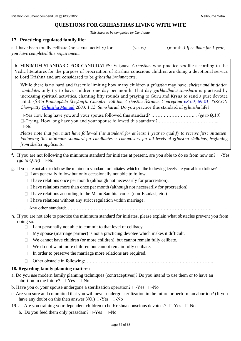### **QUESTIONS FOR GRIHASTHAS LIVING WITH WIFE**

*This Sheet to be completed by Candidate.*

### **17. Practicing regulated family life:**

a. I have been totally celibate (no sexual activity) for…….……(years)……….….(months) *If celibate for 1 year, you have completed this requirement.*

**b. MINIMUM STANDARD FOR CANDIDATES:** Vaisnava *Grhasthas* who practice sex-life according to the Vedic literatures for the purpose of procreation of Krishna conscious children are doing a devotional service to Lord Krishna and are considered to be grhastha brahmacārīs.

While there is no hard and fast rule limiting how many children a grhastha may have, *shelter and initiation candidates* only try to have children one day per month. That day *garbhodhana samskara* is practised by increasing spiritual activities, chanting fifty rounds and praying to Guru and Krsna to send a pure devotee child. (Śrīla Prabhupāda Śikṣāmṛta Complete Edition, Gṛhastha Āśrama: Conception [68-09,](http://vanisource.org/wiki/Letter_to_Satsvarupa_--_San_Francisco_20_September,_1968?terms=sex+life+sex+life+wife+sex+life+sex+life+sex+life+sex+life+wife+wife+sex+life+sex+life&first=.%20The%20principle%20of%20marriage%20is%20on%20the%20background%20of&last=it%20completely%20then%20it%20is%20a%20great%20victory%20for%20him.) [69-01;](http://vanisource.org/wiki/Letter_to_Syama_--_Los_Angeles_18_January,_1969?terms=the%20husband%20and%20wife%20should%20chant%20at%20least%20fifty%20rounds%20before%20going%20to%20sex&first=Please%20accept%20my%20blessings.%20I%20beg%20to%20acknowledge%20receipt%20of&last=the%20revision%20is%20advanced%20in%20the%201st%20Canto%20of%20Srimad-Bhagavatam.) ISKCON *Chowpatty Grhastha Manual* 2003, 1.13: Samskāras) Do you practice this standard of *grhastha* life?

-Yes How long have you and your spouse followed this standard? ………………………... *(go to Q.18)* -Trying. How long have you and your spouse followed this standard? ………………………………...  $\Box$ -No

*Please note that you must have followed this standard for at least 1 year to qualify to receive first initiation.*  Following this minimum standard for candidates is compulsory for all levels of grhastha sädhikas, beginning *from shelter applicants.*

- f. If you are not following the minimum standard for initiates at present, are you able to do so from now on?  $\Box$ -Yes  $(g\circ t\circ Q.18)$  -No
- g. If you are not able to follow the minimum standard for initiates, which of the following levels are you able to follow?
	- $\Box$  I am generally follow but only occasionally not able to follow.
	- $\Box$  I have relations once per month (although not necessarily for procreation).
	- $\Box$  I have relations more than once per month (although not necessarily for procreation).
	- $\Box$  I have relations according to the Manu Samhita codes (non-Ekadasi, etc.)
	- $\Box$  I have relations without any strict regulation within marriage.
	- Any other standard:………………………………………………………………………………….
- h. If you are not able to practice the minimum standard for initiates, please explain what obstacles prevent you from doing so.
	- $\Box$  I am personally not able to commit to that level of celibacy.
	- $\Box$  My spouse (marriage partner) is not a practicing devotee which makes it difficult.
	- $\Box$  We cannot have children (or more children), but cannot remain fully celibate.
	- $\Box$  We do not want more children but cannot remain fully celibate.
	- $\Box$  In order to preserve the marriage more relations are required.
	- Other obstacle in following:………………………………………………………………………..

### **18. Regarding family planning matters:**

- a. Do you use modern family planning techniques (contraceptives)? Do you intend to use them or to have an abortion in the future?  $\square$ -Yes  $\square$ -No
- b. Have you or your spouse undergone a sterilization operation?  $\square$ -Yes  $\square$ -No
- c. Are you sure and committed that you will never undergo sterilization in the future or perform an abortion? (If you have any doubt on this then answer NO.)  $\Box$ -Yes  $\Box$ -No
- 19. a. Are you training your dependent children to be Krishna conscious devotees?  $\Box$ -Yes  $\Box$ -No
	- b. Do you feed them only prasadam?  $\Box$ -Yes  $\Box$ -No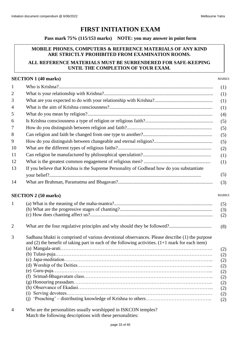### **FIRST INITIATION EXAM**

**Pass mark 75% (115/153 marks) NOTE: you may answer in point form**

### <span id="page-32-0"></span>**MOBILE PHONES, COMPUTERS & REFERENCE MATERIALS OF ANY KIND ARE STRICTLY PROHIBITED FROM EXAMINATION ROOMS.**

### **ALL REFERENCE MATERIALS MUST BE SURRENDERED FOR SAFE-KEEPING UNTIL THE COMPLETION OF YOUR EXAM.**

### **SECTION 1 (40 marks)**

MARKS

MARKS

| $\mathbf{1}$             |                                                                                           |
|--------------------------|-------------------------------------------------------------------------------------------|
| $\overline{2}$           |                                                                                           |
| 3                        |                                                                                           |
| 4                        |                                                                                           |
| 5                        |                                                                                           |
| 6                        |                                                                                           |
| $\overline{\mathcal{L}}$ |                                                                                           |
| 8                        |                                                                                           |
| 9                        |                                                                                           |
| 10                       |                                                                                           |
| 11                       |                                                                                           |
| 12                       |                                                                                           |
| 13                       | If you believe that Krishna is the Supreme Personality of Godhead how do you substantiate |
|                          |                                                                                           |
| 14                       |                                                                                           |
|                          |                                                                                           |

### **SECTION 2 (50 marks)**

| 1              |                                                                                                                                                                                                                       | (5)<br>(3)<br>(2)                                                  |
|----------------|-----------------------------------------------------------------------------------------------------------------------------------------------------------------------------------------------------------------------|--------------------------------------------------------------------|
| $\overline{2}$ |                                                                                                                                                                                                                       | (8)                                                                |
| 3              | Sadhana bhakti is comprised of various devotional observances. Please describe (1) the purpose<br>and $(2)$ the benefit of taking part in each of the following activities. $(1+1)$ mark for each item)<br>(1)<br>(i) | (2)<br>(2)<br>(2)<br>(2)<br>(2)<br>(2)<br>(2)<br>(2)<br>(2)<br>(2) |

4 Who are the personalities usually worshipped in ISKCON temples? Match the following descriptions with these personalities: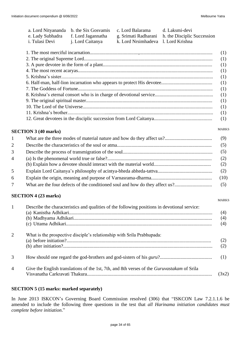| a. Lord Nityananda<br>e. Lady Subhadra<br>i. Tulasi Devi | b. the Six Gosvamis<br>f. Lord Jagannatha<br>j. Lord Caitanya | c. Lord Balarama<br>g. Srimati Radharani<br>k. Lord Nrsimhadeva | d. Laksmi-devi<br>h. the Disciplic Succession<br>1. Lord Krishna |  |  |
|----------------------------------------------------------|---------------------------------------------------------------|-----------------------------------------------------------------|------------------------------------------------------------------|--|--|
|                                                          |                                                               |                                                                 | (1)<br>(1)                                                       |  |  |
|                                                          | (1)                                                           |                                                                 |                                                                  |  |  |
|                                                          |                                                               |                                                                 | (1)                                                              |  |  |
| (1)                                                      |                                                               |                                                                 |                                                                  |  |  |
| (1)                                                      |                                                               |                                                                 |                                                                  |  |  |
| (1)                                                      |                                                               |                                                                 |                                                                  |  |  |
| (1)                                                      |                                                               |                                                                 |                                                                  |  |  |
| (1)                                                      |                                                               |                                                                 |                                                                  |  |  |
| (1)                                                      |                                                               |                                                                 |                                                                  |  |  |
| (1)                                                      |                                                               |                                                                 |                                                                  |  |  |
|                                                          | (1)                                                           |                                                                 |                                                                  |  |  |

### **SECTION 3 (40 marks)**

MARKS

MARKS

| $\mathbf{1}$    |                                                                              | (9)        |
|-----------------|------------------------------------------------------------------------------|------------|
| 2               |                                                                              | (5)        |
| 3               |                                                                              | (5)        |
| $\overline{4}$  |                                                                              | (2)<br>(2) |
| 5               |                                                                              | (2)        |
| 6               |                                                                              | (10)       |
| $7\phantom{.0}$ | What are the four defects of the conditioned soul and how do they affect us? | (5)        |

### **SECTION 4 (23 marks)**

| $\mathbf{1}$   | Describe the characteristics and qualities of the following positions in devotional service:      | (4)<br>(4)<br>(4) |
|----------------|---------------------------------------------------------------------------------------------------|-------------------|
| 2              | What is the prospective disciple's relationship with Srila Prabhupada:                            |                   |
| 3              |                                                                                                   | (1)               |
| $\overline{4}$ | Give the English translations of the 1st, 7th, and 8th verses of the <i>Guruvastakam</i> of Srila | (3x2)             |

### **SECTION 5 (15 marks: marked separately)**

In June 2013 ISKCON's Governing Board Commission resolved (306) that "ISKCON Law 7.2.1.1.6 be amended to include the following three questions in the test that *all Harinama initiation candidates must complete before initiation*."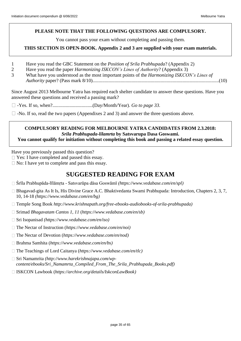### **PLEASE NOTE THAT THE FOLLOWING QUESTIONS ARE COMPULSORY.**

You cannot pass your exam without completing and passing them.

### **THIS SECTION IS OPEN-BOOK. Appendix 2 and 3 are supplied with your exam materials.**

- 1 Have you read the GBC Statement on the *Position of Srila Prabhupada*? (Appendix 2)
- 2 Have you read the paper *Harmonizing ISKCON's Lines of Authority*? (Appendix 3)
- 3 What have you understood as the most important points of the *Harmonizing ISKCON's Lines of Authority* paper? (Pass mark 8/10)........................................................................................................(10)

Since August 2013 Melbourne Yatra has required each shelter candidate to answer these questions. Have you answered these questions and received a passing mark?

- -Yes. If so, when?.................................(Day/Month/Year). *Go to page 33.*
- $\Box$  -No. If so, read the two papers (Appendixes 2 and 3) and answer the three questions above.

### **COMPULSORY READING FOR MELBOURNE YATRA CANDIDATES FROM 2.3.2018:** *Srila Prabhupada-lilamrta* **by Satsvarupa Dasa Goswami.**

**You cannot qualify for initiation without completing this book and passing a related essay question.**

Have you previously passed this question?

- $\Box$  Yes: I have completed and passed this essay.
- $\Box$  No: I have yet to complete and pass this essay.

# <span id="page-34-0"></span>**SUGGESTED READING FOR EXAM**

- Śrīla Prabhupāda-līlāmṛta Satsvarūpa dāsa Goswāmī *(https://www.vedabase.com/en/spl)*
- Bhagavad-gita As It Is, His Divine Grace A.C. Bhaktivedanta Swami Prabhupada: Introduction, Chapters 2, 3, 7, 10, 14-18 *(https://www.vedabase.com/en/bg)*
- Temple Song Book *http://www.krishnapath.org/free-ebooks-audiobooks-of-srila-prabhupada)*
- Srimad *Bhagavatam Cantos 1, 11* (*https://www.vedabase.com/en/sb)*
- Sri Isopanisad *(https://www.vedabase.com/en/iso)*
- The Nectar of Instruction (*https://www.vedabase.com/en/noi)*
- The Nectar of Devotion (*https://www.vedabase.com/en/nod)*
- Brahma Samhita (*https://www.vedabase.com/en/bs)*
- The Teachings of Lord Caitanya (*https://www.vedabase.com/en/tlc)*
- Sri Namamrita *(http://www.harekrishnajapa.com/wpcontent/ebooks/Sri\_Namamrta\_Compiled\_From\_The\_Srila\_Prabhupada\_Books.pdf)*
- ISKCON Lawbook (*[https://archive.org/details/IskconLawBook\)](https://archive.org/details/IskconLawBook)*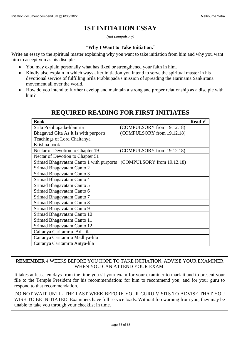# **1ST INITIATION ESSAY**

*(not compulsory)*

### **"Why I Want to Take Initiation."**

<span id="page-35-0"></span>Write an essay to the spiritual master explaining why you want to take initiation from him and why you want him to accept you as his disciple.

- You may explain personally what has fixed or strengthened your faith in him.
- Kindly also explain in which ways after initiation you intend to serve the spiritual master in his devotional service of fulfilling Srila Prabhupada's mission of spreading the Harinama Sankirtana movement all over the world.
- <span id="page-35-1"></span>• How do you intend to further develop and maintain a strong and proper relationship as a disciple with him?

### **Book Read** <del>∠</del> Srila Prabhupada-lilamrta (COMPULSORY from 19.12.18) Bhagavad Gita As It Is with purports (COMPULSORY from 19.12.18) Teachings of Lord Chaitanya Krishna book Nectar of Devotion to Chapter 19 (COMPULSORY from 19.12.18) Nectar of Devotion to Chapter 51 Srimad Bhagavatam Canto 1 with purports (COMPULSORY from 19.12.18) Srimad Bhagavatam Canto 2 Srimad Bhagavatam Canto 3 Srimad Bhagavatam Canto 4 Srimad Bhagavatam Canto 5 Srimad Bhagavatam Canto 6 Srimad Bhagavatam Canto 7 Srimad Bhagavatam Canto 8 Srimad Bhagavatam Canto 9 Srimad Bhagavatam Canto 10 Srimad Bhagavatam Canto 11 Srimad Bhagavatam Canto 12 Caitanya Caritamrta Adi-lila Caitanya Caritamrta Madhya-lila Caitanya Caritamrta Antya-lila

# **REQUIRED READING FOR FIRST INITIATES**

**REMEMBER** 4 WEEKS BEFORE YOU HOPE TO TAKE INITIATION, ADVISE YOUR EXAMINER WHEN YOU CAN ATTEND YOUR EXAM.

It takes at least ten days from the time you sit your exam for your examiner to mark it and to present your file to the Temple President for his recommendation; for him to recommend you; and for your guru to respond to that recommendation.

DO NOT WAIT UNTIL THE LAST WEEK BEFORE YOUR GURU VISITS TO ADVISE THAT YOU WISH TO BE INITIATED. Examiners have full service loads. Without forewarning from you, they may be unable to take you through your checklist in time.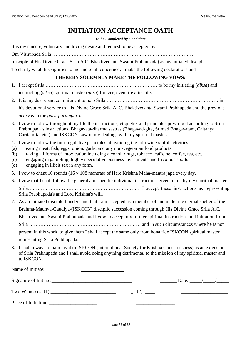# **INITIATION ACCEPTANCE OATH**

*To be Completed by Candidate*

<span id="page-36-0"></span>

| It is my sincere, voluntary and loving desire and request to be accepted by                         |
|-----------------------------------------------------------------------------------------------------|
|                                                                                                     |
| (disciple of His Divine Grace Srila A.C. Bhaktivedanta Swami Prabhupada) as his initiated disciple. |
| To clarify what this signifies to me and to all concerned, I make the following declarations and    |

### **I HEREBY SOLEMNLY MAKE THE FOLLOWING VOWS:**

- 1. I accept Srila …………………………………………………………… to be my initiating (*diksa*) and instructing (*siksa*) spiritual master (*guru*) forever, even life after life.
- 2. It is my desire and commitment to help Srila …………………………………………………………… in his devotional service to His Divine Grace Srila A. C. Bhaktivedanta Swami Prabhupada and the previous *acaryas* in the *guru-parampara.*
- 3. I vow to follow throughout my life the instructions, etiquette, and principles prescribed according to Srila Prabhupada's instructions, Bhagavata-dharma sastras (Bhagavad-gita, Srimad Bhagavatam, Caitanya Caritamrta, etc.) and ISKCON Law in my dealings with my spiritual master.
- 4. I vow to follow the four regulative principles of avoiding the following sinful activities:
- (a) eating meat, fish, eggs, onion, garlic and any non-vegetarian food products
- (b) taking all forms of intoxication including alcohol, drugs, tobacco, caffeine, coffee, tea, etc.
- (c) engaging in gambling, highly speculative business investments and frivolous sports
- (d) engaging in illicit sex in any form.
- 5. I vow to chant 16 rounds ( $16 \times 108$  mantras) of Hare Krishna Maha-mantra japa every day.
- 6. I vow that I shall follow the general and specific individual instructions given to me by my spiritual master Srila…………………………………………………………… I accept these instructions as representing Srila Prabhupada's and Lord Krishna's will.
- 7. As an initiated disciple I understand that I am accepted as a member of and under the eternal shelter of the Brahma-Madhva-Gaudiya-(ISKCON) disciplic succession coming through His Divine Grace Srila A.C. Bhaktivedanta Swami Prabhupada and I vow to accept my further spiritual instructions and initiation from Srila …………………………………………………………… and in such circumstances where he is not present in this world to give them I shall accept the same only from bona fide ISKCON spiritual master representing Srila Prabhupada.
- 8. I shall always remain loyal to ISKCON (International Society for Krishna Consciousness) as an extension of Srila Prabhupada and I shall avoid doing anything detrimental to the mission of my spiritual master and to ISKCON.

| Name of Initiate:    |                |  |
|----------------------|----------------|--|
|                      | Date: $\angle$ |  |
|                      |                |  |
| Place of Initiation: |                |  |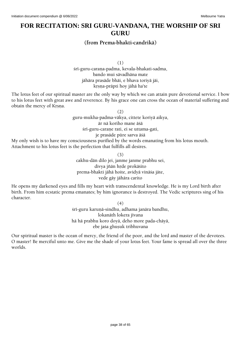# <span id="page-37-0"></span>**FOR RECITATION: SRI GURU-VANDANA, THE WORSHIP OF SRI GURU**

### **(from Prema-bhakti-candrikä)**

(1) śrī-guru-carana-padma, kevala-bhakati-sadma, bando mui sävadhäna mate jähära prasäde bhäi, e bhava toriyä jäi, krsna-prāpti hoy jāhā ha'te

The lotus feet of our spiritual master are the only way by which we can attain pure devotional service. I bow to his lotus feet with great awe and reverence. By his grace one can cross the ocean of material suffering and obtain the mercy of Krsna.

(2)

guru-mukha-padma-väkya, cittete koriyä aikya,

är nä koriho mane äçä

śrī-guru-carane rati, ei se uttama-gati,

je prasäde püre sarva äçä

My only wish is to have my consciousness purified by the words emanating from his lotus mouth. Attachment to his lotus feet is the perfection that fulfills all desires.

(3)

cakhu-dän dilo jei, janme janme prabhu sei, divya jñān hrde prokāśito prema-bhakti jähä hoite, avidyä vinäça jäte, vede gäy jähära carito

He opens my darkened eyes and fills my heart with transcendental knowledge. He is my Lord birth after birth. From him ecstatic prema emanates; by him ignorance is destroyed. The Vedic scriptures sing of his character.

(4)

śrī-guru karuņā-sindhu, adhama janāra bandhu, lokanāth lokera jīvana hä hä prabhu koro doyä, deho more pada-chäyä, ebe jaśa ghuṣuk tribhuvana

Our spiritual master is the ocean of mercy, the friend of the poor, and the lord and master of the devotees. O master! Be merciful unto me. Give me the shade of your lotus feet. Your fame is spread all over the three worlds.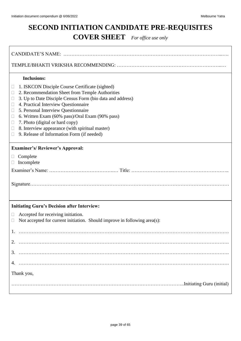# <span id="page-38-0"></span>**SECOND INITIATION CANDIDATE PRE-REQUISITES COVER SHEET** *For office use only*

| <b>Inclusions:</b><br>1. ISKCON Disciple Course Certificate (sighted)<br>$\Box$<br>2. Recommendation Sheet from Temple Authorities<br>$\Box$<br>3. Up to Date Disciple Census Form (bio data and address)<br>$\Box$<br>4. Practical Interview Questionnaire<br>Ц<br>5. Personal Interview Questionnaire<br>$\Box$<br>6. Written Exam (60% pass)/Oral Exam (90% pass)<br>$\Box$<br>7. Photo (digital or hard copy)<br>$\Box$<br>8. Interview appearance (with spiritual master)<br>$\Box$<br>9. Release of Information Form (if needed)<br>$\Box$ |  |  |  |
|--------------------------------------------------------------------------------------------------------------------------------------------------------------------------------------------------------------------------------------------------------------------------------------------------------------------------------------------------------------------------------------------------------------------------------------------------------------------------------------------------------------------------------------------------|--|--|--|
| <b>Examiner's/Reviewer's Approval:</b>                                                                                                                                                                                                                                                                                                                                                                                                                                                                                                           |  |  |  |
| Complete<br>$\Box$<br>Incomplete<br>$\Box$                                                                                                                                                                                                                                                                                                                                                                                                                                                                                                       |  |  |  |
|                                                                                                                                                                                                                                                                                                                                                                                                                                                                                                                                                  |  |  |  |
| <b>Initiating Guru's Decision after Interview:</b>                                                                                                                                                                                                                                                                                                                                                                                                                                                                                               |  |  |  |
| Accepted for receiving initiation.<br>$\Box$<br>Not accepted for current initiation. Should improve in following area(s):<br>□                                                                                                                                                                                                                                                                                                                                                                                                                   |  |  |  |
|                                                                                                                                                                                                                                                                                                                                                                                                                                                                                                                                                  |  |  |  |
| 2.                                                                                                                                                                                                                                                                                                                                                                                                                                                                                                                                               |  |  |  |
| 3.                                                                                                                                                                                                                                                                                                                                                                                                                                                                                                                                               |  |  |  |
|                                                                                                                                                                                                                                                                                                                                                                                                                                                                                                                                                  |  |  |  |
| Thank you,                                                                                                                                                                                                                                                                                                                                                                                                                                                                                                                                       |  |  |  |
|                                                                                                                                                                                                                                                                                                                                                                                                                                                                                                                                                  |  |  |  |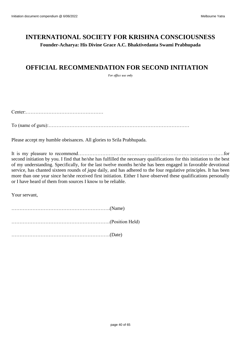# **INTERNATIONAL SOCIETY FOR KRISHNA CONSCIOUSNESS Founder-Acharya: His Divine Grace A.C. Bhaktivedanta Swami Prabhupada**

# <span id="page-39-0"></span>**OFFICIAL RECOMMENDATION FOR SECOND INITIATION**

*For office use only*

Center:…………………………………………

To (name of guru):……………………………………………………………………………

Please accept my humble obeisances. All glories to Srila Prabhupada.

It is my pleasure to recommend………………………………………………………………………………for second initiation by you. I find that he/she has fulfilled the necessary qualifications for this initiation to the best of my understanding. Specifically, for the last twelve months he/she has been engaged in favorable devotional service, has chanted sixteen rounds of *japa* daily, and has adhered to the four regulative principles. It has been more than one year since he/she received first initiation. Either I have observed these qualifications personally or I have heard of them from sources I know to be reliable.

Your servant,

…………………………………………………….(Name) …………………………………………………….(Position Held) …………………………………………………….(Date)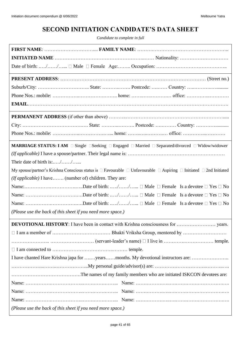# **SECOND INITIATION CANDIDATE'S DATA SHEET**

*Candidate to complete in full*

<span id="page-40-0"></span>

| MARRIAGE STATUS: I AM □ Single □ Seeking □ Engaged □ Married □ Separated/divorced □ Widow/widower                                           |  |  |  |
|---------------------------------------------------------------------------------------------------------------------------------------------|--|--|--|
|                                                                                                                                             |  |  |  |
| Their date of birth is://                                                                                                                   |  |  |  |
| My spouse/partner's Krishna Conscious status is $\Box$ Favourable $\Box$ Unfavourable $\Box$ Aspiring $\Box$ Initiated $\Box$ 2nd Initiated |  |  |  |
| (If applicable) I have (number of) children. They are:                                                                                      |  |  |  |
|                                                                                                                                             |  |  |  |
|                                                                                                                                             |  |  |  |
|                                                                                                                                             |  |  |  |
| (Please use the back of this sheet if you need more space.)                                                                                 |  |  |  |
|                                                                                                                                             |  |  |  |
|                                                                                                                                             |  |  |  |
|                                                                                                                                             |  |  |  |
|                                                                                                                                             |  |  |  |
|                                                                                                                                             |  |  |  |
|                                                                                                                                             |  |  |  |
|                                                                                                                                             |  |  |  |
|                                                                                                                                             |  |  |  |
|                                                                                                                                             |  |  |  |
|                                                                                                                                             |  |  |  |
| (Please use the back of this sheet if you need more space.)                                                                                 |  |  |  |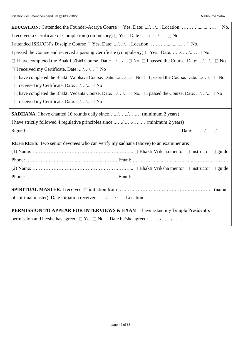| I received a Certificate of Completion (compulsory) $\Box$ Yes. Date: // $\Box$ No                                     |  |  |  |
|------------------------------------------------------------------------------------------------------------------------|--|--|--|
| I attended ISKCON's Disciple Course $\square$ Yes. Date: // Location: $\square$ No.                                    |  |  |  |
| I passed the Course and received a passing Certificate (compulsory) $\Box$ Yes. Date: // $\Box$ No                     |  |  |  |
| $\Box$ I have completed the Bhakti-sastrī Course. Date: // $\Box$ No. $\Box$ I passed the Course. Date: // $\Box$ No   |  |  |  |
| $\Box$ I received my Certificate. Date: // $\Box$ No                                                                   |  |  |  |
| $\Box$ I have completed the Bhakti Vaibhava Course. Date: // $\Box$ No. $\Box$ I passed the Course. Date: // $\Box$ No |  |  |  |
| $\Box$ I received my Certificate. Date: // $\Box$ No                                                                   |  |  |  |
| $\Box$ I have completed the Bhakti Vedanta Course. Date: // $\Box$ No. $\Box$ I passed the Course. Date: // $\Box$ No  |  |  |  |
| □ I received my Certificate. Date: // □ No                                                                             |  |  |  |
| <b>SADHANA</b> : I have chanted 16 rounds daily since// (minimum 2 years)                                              |  |  |  |
| I have strictly followed 4 regulative principles since // (minimum 2 years)                                            |  |  |  |
|                                                                                                                        |  |  |  |
| <b>REFEREES:</b> Two senior devotees who can verify my sadhana (above) to an examiner are:                             |  |  |  |
|                                                                                                                        |  |  |  |
|                                                                                                                        |  |  |  |
|                                                                                                                        |  |  |  |
|                                                                                                                        |  |  |  |
|                                                                                                                        |  |  |  |
|                                                                                                                        |  |  |  |
| <b>PERMISSION TO APPEAR FOR INTERVIEWS &amp; EXAM I have asked my Temple President's</b>                               |  |  |  |
| permission and he/she has agreed $\Box$ Yes $\Box$ No Date he/she agreed: //                                           |  |  |  |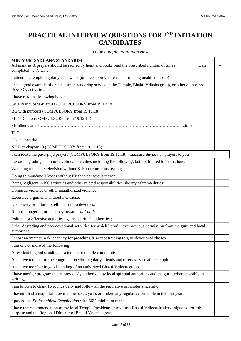# <span id="page-42-0"></span>**PRACTICAL INTERVIEW QUESTIONS FOR 2ND INITIATION CANDIDATES**

### *To be completed in interview*

| MINIMUM SADHANA STANDARDS<br>All mantras & prayers should be recited by heart and books read the prescribed number of times<br>Date<br>completed: //                        |  |
|-----------------------------------------------------------------------------------------------------------------------------------------------------------------------------|--|
| I attend the temple regularly each week (or have approved reasons for being unable to do so)                                                                                |  |
| I set a good example of enthusiasm in rendering service in the Temple, Bhakti Vriksha group, or other authorized<br><b>ISKCON</b> activities.                               |  |
| I have read the following books                                                                                                                                             |  |
| Srila Prabhupada-lilamrta (COMPULSORY from 19.12.18)                                                                                                                        |  |
| BG with purports (COMPULSORY from 19.12.18)                                                                                                                                 |  |
| SB 1st Canto (COMPULSORY from 19.12.18)                                                                                                                                     |  |
| SB other Cantos<br>times                                                                                                                                                    |  |
| <b>TLC</b>                                                                                                                                                                  |  |
| Upadeshamrita                                                                                                                                                               |  |
| NOD to chapter 19 (COMPULSORY from 19.12.18)                                                                                                                                |  |
| I can recite the guru-puja prayers (COMPULSORY from 19.12.18), "samsara davanala" prayers to you                                                                            |  |
| I avoid degrading and non-devotional activities including the following, but not limited to them alone:                                                                     |  |
| Watching mundane television without Krishna conscious reason;                                                                                                               |  |
| Going to mundane Movies without Krishna conscious reason;                                                                                                                   |  |
| Being negligent in KC activities and other related responsibilities like my ashrama duties;                                                                                 |  |
| Domestic violence or other unauthorized violence;                                                                                                                           |  |
| Excessive arguments without KC cause;                                                                                                                                       |  |
| Dishonesty or failure to tell the truth to devotees;                                                                                                                        |  |
| Rumor mongering or tendency towards kuti-nati;                                                                                                                              |  |
| Political or offensive activities against spiritual authorities;                                                                                                            |  |
| Other degrading and non-devotional activities for which I don't have previous permission from the guru and local<br>authorities.                                            |  |
| I show an interest in $\&$ tendency for preaching $\&$ accept training to give devotional classes.                                                                          |  |
| I am one or more of the following:                                                                                                                                          |  |
| A resident in good standing of a temple or temple community.                                                                                                                |  |
| An active member of the congregation who regularly attends and offers service at the temple.                                                                                |  |
| An active member in good standing of an authorized Bhakti Vriksha group.                                                                                                    |  |
| I have another program that is previously authorized by local spiritual authorities and the guru (where possible in<br>writing).                                            |  |
| I am known to chant 16 rounds daily and follow all the regulative principles sincerely.                                                                                     |  |
| I haven't had a major fall down in the past 2 years or broken any regulative principle in the past year.                                                                    |  |
| I passed the <i>Philosophical Examination</i> with 66% minimum mark.                                                                                                        |  |
| I have the recommendation of my local Temple President; or my local Bhakti Vriksha leader designated for this<br>purpose and the Regional Director of Bhakti Vriksha group. |  |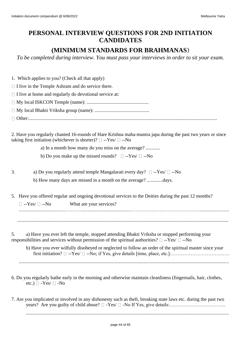# <span id="page-43-0"></span>**PERSONAL INTERVIEW QUESTIONS FOR 2ND INITIATION CANDIDATES**

# **(MINIMUM STANDARDS FOR BRAHMANAS)**

*To be completed during interview. You must pass your interviews in order to sit your exam.*

1. Which applies to you? (Check all that apply)

 $\Box$  I live in the Temple Ashram and do service there.

 $\Box$  I live at home and regularly do devotional service at:

My local ISKCON Temple (name): ...................................................

My local Bhakti Vriksha group (name): .............................................

Other:...........................................................................................................................................................

2. Have you regularly chanted 16-rounds of Hare Krishna maha-mantra japa during the past two years or since taking first initiation (whichever is shorter)?  $\Box$  --Yes/  $\Box$  --No

a) In a month how many do you miss on the average? ............

b) Do you make up the missed rounds?  $\square$  --Yes/  $\square$  --No

- 3. a) Do you regularly attend temple Mangalarati every day?  $\square$  --Yes/  $\square$  --No b) How many days are missed in a month on the average? .............days.
- 5. Have you offered regular and ongoing devotional services to the Deities during the past 12 months?

 $\Box$  --Yes/  $\Box$  --No What are your services?

.......................................……….........................................…………………………………….........................

..............................................................................................................................................................................

5. a) Have you ever left the temple, stopped attending Bhakti Vriksha or stopped performing your responsibilities and services without permission of the spiritual authorities?  $\Box$  --Yes/  $\Box$  --No

b) Have you ever wilfully disobeyed or neglected to follow an order of the spiritual master since your first initiation? --Yes/ --No; if Yes, give details [time, place, etc.]:………………………………

.............................................................................................................................................................................

- 6. Do you regularly bathe early in the morning and otherwise maintain cleanliness (fingernails, hair, clothes, etc.)  $\Box$  -Yes/  $\Box$  -No
- 7. Are you implicated or involved in any dishonesty such as theft, breaking state laws etc. during the past two years? Are you guilty of child abuse? -Yes/ -No If Yes, give details:……………………………..

.......................................................................................................................................................................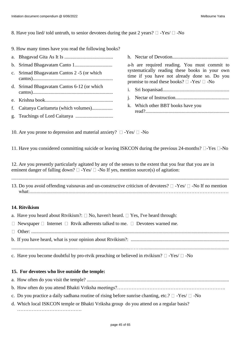### 8. Have you lied/ told untruth, to senior devotees during the past 2 years?  $\Box$  -Yes/  $\Box$  -No

- 9. How many times have you read the following books?
- a. Bhagavad Gita As It Is ........................................
- b. Srimad Bhagavatam Canto 1...............................
- c. Srimad Bhagavatam Cantos 2 -5 (or which cantos)..................................................................
- d. Srimad Bhagavatam Cantos 6-12 (or which cantos)..................................................................
- e. Krishna book........................................................
- f. Caitanya Caritamrta (which volumes).................
- g. Teachings of Lord Caitanya ...............................

a-h are required reading. You must commit to systematically reading these books in your own time if you have not already done so. Do you promise to read these books?  $\square$  -Yes/  $\square$  -No

h. Nectar of Devotion..............................................

- i. Sri Isopanisad.......................................................
- j. Nectar of Instruction............................................ k. Which other BBT books have you read?.....................................................................
- 10. Are you prone to depression and material anxiety?  $\Box$  -Yes/  $\Box$  -No

11. Have you considered committing suicide or leaving ISKCON during the previous 24-months?  $\Box$ -Yes  $\Box$ -No

12. Are you presently particularly agitated by any of the senses to the extent that you fear that you are in eminent danger of falling down?  $\Box$  -Yes/  $\Box$  -No If yes, mention source(s) of agitation:

| 13. Do you avoid offending vaisnavas and un-constructive criticism of devotees? $\Box$ -Yes/ $\Box$ -No If no mention |
|-----------------------------------------------------------------------------------------------------------------------|
|                                                                                                                       |

...................................................................................................................................................................................

### **14. Ritvikism**

| a. Have you heard about Rtvikism?: $\Box$ No, haven't heard. $\Box$ Yes, I've heard through:        |
|-----------------------------------------------------------------------------------------------------|
| $\Box$ Newspaper $\Box$ Internet $\Box$ Rivik adherents talked to me. $\Box$ Devotees warned me.    |
|                                                                                                     |
|                                                                                                     |
|                                                                                                     |
| c. Have you become doubtful by pro-rtvik preaching or believed in rtvikism? $\Box$ -Yes/ $\Box$ -No |

### **15. For devotees who live outside the temple:**

- a. How often do you visit the temple? .....................................................................................................................
- b. How often do you attend Bhakti Vriksha meetings?………………………………………………………….
- c. Do you practice a daily sadhana routine of rising before sunrise chanting, etc.?  $\Box$  -Yes/  $\Box$  -No
- d. Which local ISKCON temple or Bhakti Vriksha group do you attend on a regular basis? ………………………………….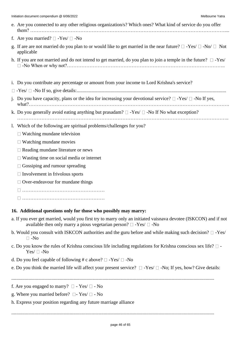| Initiation document compendium @ 6/06/2022<br>Melbourne Yatra                                                                                                                                         |
|-------------------------------------------------------------------------------------------------------------------------------------------------------------------------------------------------------|
| e. Are you connected to any other religious organization/s? Which ones? What kind of service do you offer                                                                                             |
| f. Are you married? $\Box$ -Yes/ $\Box$ -No                                                                                                                                                           |
| g. If are are not married do you plan to or would like to get married in the near future? $\Box$ -Yes/ $\Box$ -No/ $\Box$ Not<br>applicable                                                           |
| h. If you are not married and do not intend to get married, do you plan to join a temple in the future? $\square$ -Yes/                                                                               |
| i. Do you contribute any percentage or amount from your income to Lord Krishna's service?                                                                                                             |
|                                                                                                                                                                                                       |
| j. Do you have capacity, plans or the idea for increasing your devotional service? $\Box$ -Yes/ $\Box$ -No If yes,                                                                                    |
| k. Do you generally avoid eating anything but prasadam? $\Box$ -Yes/ $\Box$ -No If No what exception?                                                                                                 |
| 1. Which of the following are spiritual problems/challenges for you?                                                                                                                                  |
| $\Box$ Watching mundane television                                                                                                                                                                    |
| $\Box$ Watching mundane movies                                                                                                                                                                        |
| $\Box$ Reading mundane literature or news                                                                                                                                                             |
| $\Box$ Wasting time on social media or internet                                                                                                                                                       |
| Gossiping and rumour spreading                                                                                                                                                                        |
| $\Box$ Involvement in frivolous sports                                                                                                                                                                |
| $\Box$ Over-endeavour for mundane things                                                                                                                                                              |
|                                                                                                                                                                                                       |
|                                                                                                                                                                                                       |
| 16. Additional questions only for those who possibly may marry:                                                                                                                                       |
| a. If you ever get married, would you first try to marry only an initiated vaisnava devotee (ISKCON) and if not<br>available then only marry a pious vegetarian person? $\square$ -Yes/ $\square$ -No |
| b. Would you consult with ISKCON authorities and the guru before and while making such decision? $\square$ -Yes/<br>$\square$ -No                                                                     |
| c. Do you know the rules of Krishna conscious life including regulations for Krishna conscious sex life? $\square$ -<br>$Yes / \Box$ -No                                                              |
| d. Do you feel capable of following # c above? $\Box$ -Yes/ $\Box$ -No                                                                                                                                |
| e. Do you think the married life will affect your present service? $\Box$ -Yes/ $\Box$ -No; If yes, how? Give details:                                                                                |
| f. Are you engaged to marry? $\square$ - Yes/ $\square$ - No                                                                                                                                          |
| g. Where you married before? $\square$ - Yes/ $\square$ - No                                                                                                                                          |

h. Express your position regarding any future marriage alliance

.......................................................................................................................................................................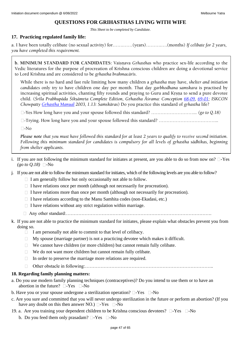### **QUESTIONS FOR GRIHASTHAS LIVING WITH WIFE**

*This Sheet to be completed by Candidate.*

### **17. Practicing regulated family life:**

a. I have been totally celibate (no sexual activity) for…….……(years)……….….(months) *If celibate for 2 years, you have completed this requirement.*

**b. MINIMUM STANDARD FOR CANDIDATES:** Vaisnava *Grhasthas* who practice sex-life according to the Vedic literatures for the purpose of procreation of Krishna conscious children are doing a devotional service to Lord Krishna and are considered to be grhastha brahmacārīs.

While there is no hard and fast rule limiting how many children a grhastha may have, shelter and initiation *candidates* only try to have children one day per month. That day *garbhodhana samskara* is practised by increasing spiritual activities, chanting fifty rounds and praying to Guru and Krsna to send a pure devotee child. (*Çréla Prabhupäda Çikñämåta Complete Edition, Gåhastha Äçrama: Conception [68-09,](http://vanisource.org/wiki/Letter_to_Satsvarupa_--_San_Francisco_20_September,_1968?terms=sex+life+sex+life+wife+sex+life+sex+life+sex+life+sex+life+wife+wife+sex+life+sex+life&first=.%20The%20principle%20of%20marriage%20is%20on%20the%20background%20of&last=it%20completely%20then%20it%20is%20a%20great%20victory%20for%20him.) [69-01;](http://vanisource.org/wiki/Letter_to_Syama_--_Los_Angeles_18_January,_1969?terms=the%20husband%20and%20wife%20should%20chant%20at%20least%20fifty%20rounds%20before%20going%20to%20sex&first=Please%20accept%20my%20blessings.%20I%20beg%20to%20acknowledge%20receipt%20of&last=the%20revision%20is%20advanced%20in%20the%201st%20Canto%20of%20Srimad-Bhagavatam.) ISKCON Chowpatty Grhastha Manual* 2003, 1.13: Samskāras) Do you practice this standard of grhastha life?

-Yes How long have you and your spouse followed this standard? ………………………... *(go to Q.18)*

-Trying. How long have you and your spouse followed this standard? ………………………………...

 $\neg$ -No

*Please note that you must have followed this standard for at least 2 years to qualify to receive second initiation. Following this minimum standard for candidates is compulsory for all levels of grhastha sädhikas, beginning from shelter applicants.*

- i. If you are not following the minimum standard for initiates at present, are you able to do so from now on?  $\square$ -Yes  $(go \ to \ Q.18)$  -No
- j. If you are not able to follow the minimum standard for initiates, which of the following levels are you able to follow?
	- $\Box$  I am generally follow but only occasionally not able to follow.
	- $\Box$  I have relations once per month (although not necessarily for procreation).
	- $\Box$  I have relations more than once per month (although not necessarily for procreation).
	- $\Box$  I have relations according to the Manu Samhita codes (non-Ekadasi, etc.)
	- $\Box$  I have relations without any strict regulation within marriage.
	- Any other standard:………………………………………………………………………………….
- k. If you are not able to practice the minimum standard for initiates, please explain what obstacles prevent you from doing so.
	- $\Box$  I am personally not able to commit to that level of celibacy.
	- $\Box$  My spouse (marriage partner) is not a practicing devotee which makes it difficult.
	- $\Box$  We cannot have children (or more children) but cannot remain fully celibate.
	- $\Box$  We do not want more children but cannot remain fully celibate.
	- In order to preserve the marriage more relations are required.
	- Other obstacle in following:………………………………………………………………………..

### **18. Regarding family planning matters:**

- a. Do you use modern family planning techniques (contraceptives)? Do you intend to use them or to have an abortion in the future?  $\square$ -Yes  $\square$ -No
- b. Have you or your spouse undergone a sterilization operation?  $\Box$ -Yes  $\Box$ -No
- c. Are you sure and committed that you will never undergo sterilization in the future or perform an abortion? (If you have any doubt on this then answer NO.)  $\square$ -Yes  $\square$ -No
- 19. a. Are you training your dependent children to be Krishna conscious devotees?  $\square$ -Yes  $\square$ -No
	- b. Do you feed them only prasadam?  $\square$ -Yes  $\square$ -No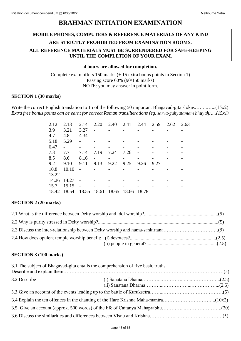# **BRAHMAN INITIATION EXAMINATION**

# <span id="page-47-0"></span>**MOBILE PHONES, COMPUTERS & REFERENCE MATERIALS OF ANY KIND ARE STRICTLY PROHIBITED FROM EXAMINATION ROOMS. ALL REFERENCE MATERIALS MUST BE SURRENDERED FOR SAFE-KEEPING UNTIL THE COMPLETION OF YOUR EXAM.**

### **4 hours are allowed for completion.**

Complete exam offers 150 marks (+ 15 extra bonus points in Section 1) Passing score 60% (90/150 marks) NOTE: you may answer in point form.

### **SECTION 1 (30 marks)**

Write the correct English translation to 15 of the following 50 important Bhagavad-gita slokas……..............(15x2) *Extra free bonus points can be earnt for correct Roman transliterations (eg. sarva-guhyatamam bhūyah)....(15x1)* 

| 2.12  | 2.13           | 2.14  | 2.20           | 2.40  | 2.41  | 2.44  | 2.59 | 2.62 | 2.63 |
|-------|----------------|-------|----------------|-------|-------|-------|------|------|------|
| 3.9   | 3.21           | 3.27  | $\overline{a}$ |       |       |       |      |      |      |
| 4.7   | 4.8            | 4.34  |                |       |       |       |      |      |      |
| 5.18  | 5.29           |       |                |       |       |       |      |      |      |
| 6.47  | $\overline{a}$ |       |                |       |       |       |      |      |      |
| 7.3   | 7.7            | 7.14  | 7.19           | 7.24  | 7.26  |       |      |      |      |
| 8.5   | 8.6            | 8.16  |                |       |       |       |      |      |      |
| 9.2   | 9.10           | 9.11  | 9.13           | 9.22  | 9.25  | 9.26  | 9.27 |      |      |
| 10.8  | 10.10          |       |                |       |       |       |      |      |      |
| 13.22 | $\overline{a}$ |       |                |       |       |       |      |      |      |
| 14.26 | 14.27          |       |                |       |       |       |      |      |      |
| 15.7  | 15.15          |       |                |       |       |       |      |      |      |
| 18.42 | 18.54          | 18.55 | 18.61          | 18.65 | 18.66 | 18.78 |      |      |      |

### **SECTION 2 (20 marks)**

### **SECTION 3 (100 marks)**

|              | 3.1 The subject of Bhagavad-gita entails the comprehension of five basic truths. |  |  |  |  |
|--------------|----------------------------------------------------------------------------------|--|--|--|--|
| 3.2 Describe |                                                                                  |  |  |  |  |
|              |                                                                                  |  |  |  |  |
|              |                                                                                  |  |  |  |  |
|              |                                                                                  |  |  |  |  |
|              |                                                                                  |  |  |  |  |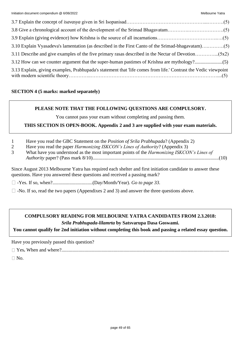| 3.10 Explain Vyasadeva's lamentation (as described in the First Canto of the Srimad-bhagavatam)(5)              |  |
|-----------------------------------------------------------------------------------------------------------------|--|
|                                                                                                                 |  |
| 3.12 How can we counter argument that the super-human pastimes of Krishna are mythology?(5)                     |  |
| 3.13 Explain, giving examples, Prabhupada's statement that 'life comes from life.' Contrast the Vedic viewpoint |  |

### **SECTION 4 (5 marks: marked separately)**

### **PLEASE NOTE THAT THE FOLLOWING QUESTIONS ARE COMPULSORY.**

You cannot pass your exam without completing and passing them.

### **THIS SECTION IS OPEN-BOOK. Appendix 2 and 3 are supplied with your exam materials.**

- 1 Have you read the GBC Statement on the *Position of Srila Prabhupada*? (Appendix 2)
- 2 Have you read the paper *Harmonizing ISKCON's Lines of Authority*? (Appendix 3)
- 3 What have you understood as the most important points of the *Harmonizing ISKCON's Lines of Authority* paper? (Pass mark 8/10)........................................................................................................(10)

Since August 2013 Melbourne Yatra has required each shelter and first initiation candidate to answer these questions. Have you answered these questions and received a passing mark?

-Yes. If so, when?.................................(Day/Month/Year). *Go to page 33.*

 $\Box$  -No. If so, read the two papers (Appendixes 2 and 3) and answer the three questions above.

### **COMPULSORY READING FOR MELBOURNE YATRA CANDIDATES FROM 2.3.2018:** *Srila Prabhupada-lilamrta* **by Satsvarupa Dasa Goswami.**

**You cannot qualify for 2nd initiation without completing this book and passing a related essay question.**

Have you previously passed this question?

Yes**.** When and where?..........................................................................................................................................

 $\n  $\Box$  No.$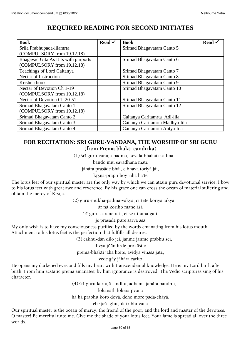# <span id="page-49-0"></span>**REQUIRED READING FOR SECOND INITIATES**

| <b>Book</b>                          | Read $\checkmark$ | <b>Book</b>                     | Read $\checkmark$ |
|--------------------------------------|-------------------|---------------------------------|-------------------|
| Srila Prabhupada-lilamrta            |                   | Srimad Bhagavatam Canto 5       |                   |
| (COMPULSORY from 19.12.18)           |                   |                                 |                   |
| Bhagavad Gita As It Is with purports |                   | Srimad Bhagavatam Canto 6       |                   |
| (COMPULSORY from 19.12.18)           |                   |                                 |                   |
| <b>Teachings of Lord Caitanya</b>    |                   | Srimad Bhagavatam Canto 7       |                   |
| <b>Nectar of Instruction</b>         |                   | Srimad Bhagavatam Canto 8       |                   |
| Krishna book                         |                   | Srimad Bhagavatam Canto 9       |                   |
| Nectar of Devotion Ch 1-19           |                   | Srimad Bhagavatam Canto 10      |                   |
| (COMPULSORY from 19.12.18)           |                   |                                 |                   |
| Nectar of Devotion Ch 20-51          |                   | Srimad Bhagavatam Canto 11      |                   |
| Srimad Bhagavatam Canto 1            |                   | Srimad Bhagavatam Canto 12      |                   |
| (COMPULSORY from 19.12.18)           |                   |                                 |                   |
| Srimad Bhagavatam Canto 2            |                   | Caitanya Caritamrta Adi-lila    |                   |
| Srimad Bhagavatam Canto 3            |                   | Caitanya Caritamrta Madhya-lila |                   |
| Srimad Bhagavatam Canto 4            |                   | Caitanya Caritamrta Antya-lila  |                   |

## <span id="page-49-1"></span>**FOR RECITATION: SRI GURU-VANDANA, THE WORSHIP OF SRI GURU (from Prema-bhakti-candrikä)**

(1) srī-guru-caraṇa-padma, kevala-bhakati-sadma,

bando mui sävadhäna mate

jähära prasäde bhäi, e bhava toriyä jäi,

krsna-prāpti hoy jāhā ha'te

The lotus feet of our spiritual master are the only way by which we can attain pure devotional service. I bow to his lotus feet with great awe and reverence. By his grace one can cross the ocean of material suffering and obtain the mercy of Krsna.

(2) guru-mukha-padma-väkya, cittete koriyä aikya,

är nä koriho mane äçä

śrī-guru-carane rati, ei se uttama-gati,

je prasäde püre sarva äçä

My only wish is to have my consciousness purified by the words emanating from his lotus mouth.

Attachment to his lotus feet is the perfection that fulfills all desires.

(3) cakhu-dän dilo jei, janme janme prabhu sei,

divya jñān hrde prokāśito

prema-bhakti jähä hoite, avidyä vinäça jäte,

vede gäy jähära carito

He opens my darkened eyes and fills my heart with transcendental knowledge. He is my Lord birth after birth. From him ecstatic prema emanates; by him ignorance is destroyed. The Vedic scriptures sing of his character.

(4) srī-guru karuņā-sindhu, adhama janāra bandhu,

lokanāth lokera jīvana

hä hä prabhu koro doyä, deho more pada-chäyä,

ebe jaśa ghusuk tribhuvana

Our spiritual master is the ocean of mercy, the friend of the poor, and the lord and master of the devotees. O master! Be merciful unto me. Give me the shade of your lotus feet. Your fame is spread all over the three worlds.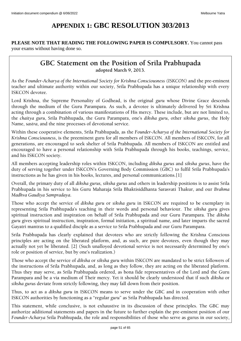# **APPENDIX 1: GBC RESOLUTION 303/2013**

### <span id="page-50-0"></span>**PLEASE NOTE THAT READING THE FOLLOWING PAPER IS COMPULSORY.** You cannot pass your exams without having done so.

# **GBC Statement on the Position of Srila Prabhupada adopted March 9, 2013.**

As the *Founder-Acharya of the International Society for Krishna Consciousness (ISKCON)* and the pre-eminent teacher and ultimate authority within our society, Srila Prabhupada has a unique relationship with every ISKCON devotee.

Lord Krishna, the Supreme Personality of Godhead, is the original *guru* whose Divine Grace descends through the medium of the Guru Parampara. As such, a devotee is ultimately delivered by Sri Krishna acting through a combination of various manifestations of His mercy. These include, but are not limited to, the *chaitya guru*, Srila Prabhupada, the Guru Parampara, one's *diksha guru*, other *siksha gurus*, the Holy Name, *sastra*, and the nine processes of devotional service.

Within these cooperative elements, Srila Prabhupada, as the *Founder-Acharya of the International Society for Krishna Consciousness*, is the preeminent guru for all members of ISKCON. All members of ISKCON, for all generations, are encouraged to seek shelter of Srila Prabhupada. All members of ISKCON are entitled and encouraged to have a personal relationship with Srila Prabhupada through his books, teachings, service, and his ISKCON society.

All members accepting leadership roles within ISKCON, including *diksha gurus* and *siksha gurus*, have the duty of serving together under ISKCON's Governing Body Commission (GBC) to fulfil Srila Prabhupada's instructions as he has given in his books, lectures, and personal communications.[1]

Overall, the primary duty of all *diksha gurus, siksha gurus* and others in leadership positions is to assist Srila Prabhupada in his service to his Guru Maharaja Srila Bhaktisiddhanta Sarasvati Thakur, and our *Brahma Madhva Gaudiya Sampradaya*.

Those who accept the service of *diksha guru* or *siksha guru* in ISKCON are required to be exemplary in representing Srila Prabhupada's teaching in their words and personal behaviour. The *siksha guru* gives spiritual instruction and inspiration on behalf of Srila Prabhupada and our Guru Parampara. The *diksha guru* gives spiritual instruction, inspiration, formal initiation, a spiritual name, and later imparts the sacred Gayatri mantras to a qualified disciple as a service to Srila Prabhupada and our Guru Parampara.

Srila Prabhupada has clearly explained that devotees who are strictly following the Krishna Conscious principles are acting on the liberated platform, and, as such, are pure devotees, even though they may actually not yet be liberated. [2] (Such unalloyed devotional service is not necessarily determined by one's role or position of service, but by one's realization.)

Those who accept the service of *diksha* or *siksha guru* within ISKCON are mandated to be strict followers of the instructions of Srila Prabhupada, and, as long as they follow, they are acting on the liberated platform. Thus they may serve, as Srila Prabhupada ordered, as bona fide representatives of the Lord and the Guru Parampara and be a via medium of Their mercy. Yet it should be clearly understood that if such *diksha* or *siksha gurus* deviate from strictly following, they may fall down from their position.

Thus, to act as a *diksha guru* in ISKCON means to serve under the GBC and in cooperation with other ISKCON authorities by functioning as a "regular *guru*" as Srila Prabhupada has directed.

This statement, while conclusive, is not exhaustive in its discussion of these principles. The GBC may authorize additional statements and papers in the future to further explain the pre-eminent position of our *Founder-Acharya* Srila Prabhupada, the role and responsibilities of those who serve as gurus in our society,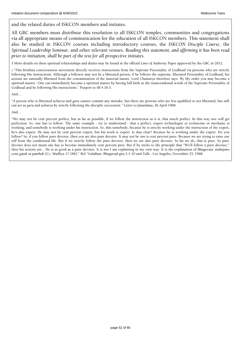and the related duties of ISKCON members and initiates.

All GBC members must distribute this resolution to all ISKCON temples, communities and congregations via all appropriate means of communication for the education of all ISKCON members. This statement shall also be studied in ISKCON courses including introductory courses, the *ISKCON Disciple Course*, the *Spiritual Leadership Seminar*, and other relevant venues. *Reading this statement, and affirming it has been read prior to initiation, shall be part of the test for all prospective initiates.*

1 More details on these spiritual relationships and duties may be found in the official *Lines of Authority* Paper approved by the GBC in 2012.

2 "This Krishna consciousness movement directly receives instructions from the Supreme Personality of Godhead via persons who are strictly following His instructions. Although a follower may not be a liberated person, if he follows the supreme, liberated Personality of Godhead, his actions are naturally liberated from the contamination of the material nature. Lord Chaitanya therefore says: 'By My order you may become a spiritual master.' One can immediately become a spiritual master by having full faith in the transcendental words of the Supreme Personality of Godhead and by following His instructions." Purport to SB 4.18.5.

### And…

"A person who is liberated *acharya* and *guru* cannot commit any mistake, but there are persons who are less qualified or not liberated, but still can act as *guru* and *acharya* by strictly following the disciplic succession." Letter to Janardana, 26 April 1968.

### And…

<span id="page-51-0"></span>"We may not be cent percent perfect, but as far as possible, if we follow the instruction as it is, that much perfect. In this way one will get perfection. So, one has to follow. The same example - try to understand - that a perfect, expert technologist or technician or mechanic is working, and somebody is working under his instruction. So, this somebody, because he is strictly working under the instruction of the expert, he's also expert. He may not be cent percent expert, but his work is expert. Is that clear? Because he is working under the expert. Do you follow? So, if you follow pure devotee, then you are also pure devotee. It may not be one is cent percent pure. Because we are trying to raise our self from the conditional life. But if we strictly follow the pure devotee, then we are also pure devotee. So far we do, that is pure. So pure devotee does not mean one has to become immediately cent percent pure. But if he sticks to the principle that "We'll follow a pure devotee," then his actions are... He is as good as a pure devotee. It is not I am explaining in my own way. It is the explanation of Bhagavata: *mahajano yena gatah sa panthah* [Cc. Madhya 17.186]." Ref. VedaBase, Bhagavad-gita 2.1-10 and Talk - Los Angeles, November 25, 1968.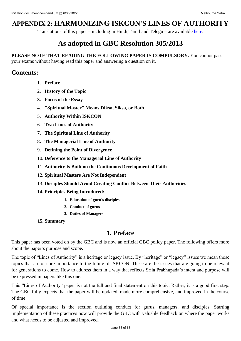# **APPENDIX 2: HARMONIZING ISKCON'S LINES OF AUTHORITY**

Translations of this paper – including in Hindi,Tamil and Telegu – are available [here.](http://www.dandavats.com/?page_id=506)

# **As adopted in GBC Resolution 305/2013**

**PLEASE NOTE THAT READING THE FOLLOWING PAPER IS COMPULSORY.** You cannot pass

your exams without having read this paper and answering a question on it.

# **Contents:**

- **1. Preface**
- 2. **History of the Topic**
- **3. Focus of the Essay**
- 4. **"Spiritual Master" Means Diksa, Siksa, or Both**
- 5. **Authority Within ISKCON**
- 6. **Two Lines of Authority**
- **7. The Spiritual Line of Authority**
- **8. The Managerial Line of Authority**
- 9. **Defining the Point of Divergence**
- 10. **Deference to the Managerial Line of Authority**
- 11. **Authority Is Built on the Continuous Development of Faith**
- 12. **Spiritual Masters Are Not Independent**
- 13. **Disciples Should Avoid Creating Conflict Between Their Authorities**
- **14. Principles Being Introduced:**
	- **1. Education of guru's disciples**
	- **2. Conduct of gurus**
	- **3. Duties of Managers**
- **15. Summary**

# **1. Preface**

This paper has been voted on by the GBC and is now an official GBC policy paper. The following offers more about the paper's purpose and scope.

The topic of "Lines of Authority" is a heritage or legacy issue. By "heritage" or "legacy" issues we mean those topics that are of core importance to the future of ISKCON. These are the issues that are going to be relevant for generations to come. How to address them in a way that reflects Srila Prabhupada's intent and purpose will be expressed in papers like this one.

This "Lines of Authority" paper is not the full and final statement on this topic. Rather, it is a good first step. The GBC fully expects that the paper will be updated, made more comprehensive, and improved in the course of time.

Of special importance is the section outlining conduct for gurus, managers, and disciples. Starting implementation of these practices now will provide the GBC with valuable feedback on where the paper works and what needs to be adjusted and improved.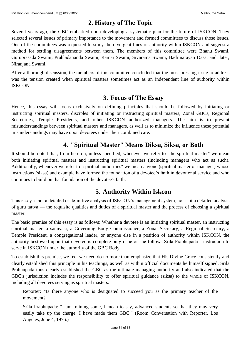# **2. History of The Topic**

Several years ago, the GBC embarked upon developing a systematic plan for the future of ISKCON. They selected several issues of primary importance to the movement and formed committees to discuss those issues. One of the committees was requested to study the divergent lines of authority within ISKCON and suggest a method for settling disagreements between them. The members of this committee were Bhanu Swami, Guruprasada Swami, Prahladananda Swami, Ramai Swami, Sivarama Swami, Badrinarayan Dasa, and, later, Niranjana Swami.

After a thorough discussion, the members of this committee concluded that the most pressing issue to address was the tension created when spiritual masters sometimes act as an independent line of authority within ISKCON.

# **3. Focus of The Essay**

Hence, this essay will focus exclusively on defining principles that should be followed by initiating or instructing spiritual masters, disciples of initiating or instructing spiritual masters, Zonal GBCs, Regional Secretaries, Temple Presidents, and other ISKCON authorized managers. The aim is to prevent misunderstandings between spiritual masters and managers, as well as to minimize the influence these potential misunderstandings may have upon devotees under their combined care.

# **4. "Spiritual Master" Means Diksa, Siksa, or Both**

It should be noted that, from here on, unless specified, whenever we refer to "the spiritual master" we mean both initiating spiritual masters and instructing spiritual masters (including managers who act as such). Additionally, whenever we refer to "spiritual authorities" we mean anyone (spiritual master or manager) whose instructions (siksa) and example have formed the foundation of a devotee's faith in devotional service and who continues to build on that foundation of the devotee's faith.

# **5. Authority Within Iskcon**

This essay is not a detailed or definitive analysis of ISKCON's management system, nor is it a detailed analysis of guru tattva — the requisite qualities and duties of a spiritual master and the process of choosing a spiritual master.

The basic premise of this essay is as follows: Whether a devotee is an initiating spiritual master, an instructing spiritual master, a sannyasi, a Governing Body Commissioner, a Zonal Secretary, a Regional Secretary, a Temple President, a congregational leader, or anyone else in a position of authority within ISKCON, the authority bestowed upon that devotee is complete only if he or she follows Srila Prabhupada's instruction to serve in ISKCON under the authority of the GBC Body.

To establish this premise, we feel we need do no more than emphasize that His Divine Grace consistently and clearly established this principle in his teachings, as well as within official documents he himself signed. Srila Prabhupada thus clearly established the GBC as the ultimate managing authority and also indicated that the GBC's jurisdiction includes the responsibility to offer spiritual guidance (siksa) to the whole of ISKCON, including all devotees serving as spiritual masters:

Reporter: "Is there anyone who is designated to succeed you as the primary teacher of the movement?"

Srila Prabhupada: "I am training some, I mean to say, advanced students so that they may very easily take up the charge. I have made them GBC." (Room Conversation with Reporter, Los Angeles, June 4, 1976.)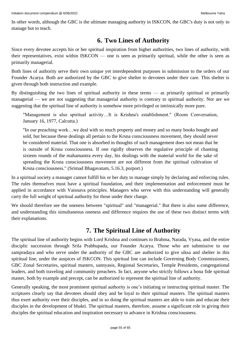In other words, although the GBC is the ultimate managing authority in ISKCON, the GBC's duty is not only to manage but to teach.

# **6. Two Lines of Authority**

Since every devotee accepts his or her spiritual inspiration from higher authorities, two lines of authority, with their representatives, exist within ISKCON — one is seen as primarily spiritual, while the other is seen as primarily managerial.

Both lines of authority serve their own unique yet interdependent purposes in submission to the orders of our Founder Acarya. Both are authorized by the GBC to give shelter to devotees under their care. This shelter is given through both instruction and example.

By distinguishing the two lines of spiritual authority in these terms — as primarily spiritual or primarily managerial — we are not suggesting that managerial authority is contrary to spiritual authority. Nor are we suggesting that the spiritual line of authority is somehow more privileged or intrinsically more pure.

"Management is also spiritual activity…It is Krishna's establishment." (Room Conversation, January 16, 1977, Calcutta.)

"In our preaching work…we deal with so much property and money and so many books bought and sold, but because these dealings all pertain to the Krsna consciousness movement, they should never be considered material. That one is absorbed in thoughts of such management does not mean that he is outside of Krsna consciousness. If one rigidly observes the regulative principle of chanting sixteen rounds of the mahamantra every day, his dealings with the material world for the sake of spreading the Krsna consciousness movement are not different from the spiritual cultivation of Krsna consciousness." (Srimad Bhagavatam, 5.16.3, purport.)

In a spiritual society a manager cannot fulfill his or her duty to manage simply by declaring and enforcing rules. The rules themselves must have a spiritual foundation, and their implementation and enforcement must be applied in accordance with Vaisnava principles. Managers who serve with this understanding will generally carry the full weight of spiritual authority for those under their charge.

We should therefore see the oneness between "spiritual" and "managerial." But there is also some difference, and understanding this simultaneous oneness and difference requires the use of these two distinct terms with their explanations.

# **7. The Spiritual Line of Authority**

The spiritual line of authority begins with Lord Krishna and continues to Brahma, Narada, Vyasa, and the entire disciplic succession through Srila Prabhupada, our Founder Acarya. Those who are submissive to our sampradaya and who serve under the authority of the GBC are authorized to give siksa and shelter in this spiritual line, under the auspices of ISKCON. This spiritual line can include Governing Body Commissioners, GBC Zonal Secretaries, spiritual masters, sannyasis, Regional Secretaries, Temple Presidents, congregational leaders, and both traveling and community preachers. In fact, anyone who strictly follows a bona fide spiritual master, both by example and precept, can be authorized to represent the spiritual line of authority.

Generally speaking, the most prominent spiritual authority is one's initiating or instructing spiritual master. The scriptures clearly say that devotees should obey and be loyal to their spiritual masters. The spiritual masters thus exert authority over their disciples, and in so doing the spiritual masters are able to train and educate their disciples in the development of bhakti. The spiritual masters, therefore, assume a significant role in giving their disciples the spiritual education and inspiration necessary to advance in Krishna consciousness.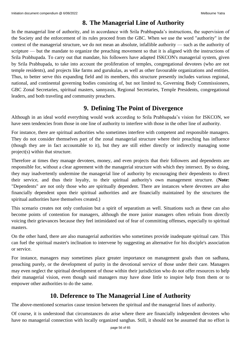# **8. The Managerial Line of Authority**

In the managerial line of authority, and in accordance with Srila Prabhupada's instructions, the supervision of the Society and the enforcement of its rules proceed from the GBC. When we use the word "authority" in the context of the managerial structure, we do not mean an absolute, infallible authority — such as the authority of scripture — but the mandate to organize the preaching movement so that it is aligned with the instructions of Srila Prabhupada. To carry out that mandate, his followers have adapted ISKCON's managerial system, given by Srila Prabhupada, to take into account the proliferation of temples, congregational devotees (who are not temple residents), and projects like farms and gurukulas, as well as other favourable organizations and entities. Thus, to better serve this expanding field and its members, this structure presently includes various regional, national, and continental governing bodies consisting of, but not limited to, Governing Body Commissioners, GBC Zonal Secretaries, spiritual masters, sannyasis, Regional Secretaries, Temple Presidents, congregational leaders, and both traveling and community preachers.

# **9. Defining The Point of Divergence**

Although in an ideal world everything would work according to Srila Prabhupada's vision for ISKCON, we have seen tendencies from those in one line of authority to interfere with those in the other line of authority.

For instance, there are spiritual authorities who sometimes interfere with competent and responsible managers. They do not consider themselves part of the zonal managerial structure where their preaching has influence (though they are in fact accountable to it), but they are still either directly or indirectly managing some project(s) within that structure.

Therefore at times they manage devotees, money, and even projects that their followers and dependents are responsible for, without a clear agreement with the managerial structure with which they intersect. By so doing, they may inadvertently undermine the managerial line of authority by encouraging their dependents to direct their service, and thus their loyalty, to their spiritual authority's own management structure. (**Note:** "Dependents" are not only those who are spiritually dependent. There are instances where devotees are also financially dependent upon their spiritual authorities and are financially maintained by the structures the spiritual authorities have themselves created.)

This scenario creates not only confusion but a spirit of separatism as well. Situations such as these can also become points of contention for managers, although the more junior managers often refrain from directly voicing their grievances because they feel intimidated out of fear of committing offenses, especially to spiritual masters.

On the other hand, there are also managerial authorities who sometimes provide inadequate spiritual care. This can fuel the spiritual master's inclination to intervene by suggesting an alternative for his disciple's association or service.

For instance, managers may sometimes place greater importance on management goals than on sadhana, preaching purely, or the development of purity in the devotional service of those under their care. Managers may even neglect the spiritual development of those within their jurisdiction who do not offer resources to help their managerial vision, even though said managers may have done little to inspire help from them or to empower other authorities to do the same.

# **10. Deference to The Managerial Line of Authority**

The above-mentioned scenarios cause tension between the spiritual and the managerial lines of authority.

Of course, it is understood that circumstances do arise where there are financially independent devotees who have no managerial connection with locally organized sanghas. Still, it should not be assumed that no effort is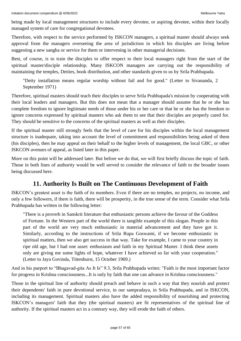being made by local management structures to include every devotee, or aspiring devotee, within their locally managed system of care for congregational devotees.

Therefore, with respect to the service performed by ISKCON managers, a spiritual master should always seek approval from the managers overseeing the area of jurisdiction in which his disciples are living before suggesting a new sangha or service for them or intervening in other managerial decisions.

Best, of course, is to train the disciples to offer respect to their local managers right from the start of the spiritual master/disciple relationship. Many ISKCON managers are carrying out the responsibility of maintaining the temples, Deities, book distribution, and other standards given to us by Srila Prabhupada.

"Deity installation means regular worship without fail and for good." (Letter to Sivananda, 2 September 1971)

Therefore, spiritual masters should teach their disciples to serve Srila Prabhupada's mission by cooperating with their local leaders and managers. But this does not mean that a manager should assume that he or she has complete freedom to ignore legitimate needs of those under his or her care or that he or she has the freedom to ignore concerns expressed by spiritual masters who ask them to see that their disciples are properly cared for. They should be sensitive to the concerns of the spiritual masters as well as their disciples.

If the spiritual master still strongly feels that the level of care for his disciples within the local management structure is inadequate, taking into account the level of commitment and responsibilities being asked of them (his disciples), then he may appeal on their behalf to the higher levels of management, the local GBC, or other ISKCON avenues of appeal, as listed later in this paper.

More on this point will be addressed later. But before we do that, we will first briefly discuss the topic of faith. Those in both lines of authority would be well served to consider the relevance of faith to the broader issues being discussed here.

# **11. Authority Is Built on The Continuous Development of Faith**

ISKCON's greatest asset is the faith of its members. Even if there are no temples, no projects, no income, and only a few followers, if there is faith, there will be prosperity, in the true sense of the term. Consider what Srila Prabhupada has written in the following letter:

"There is a proverb in Sanskrit literature that enthusiastic persons achieve the favour of the Goddess of Fortune. In the Western part of the world there is tangible example of this slogan. People in this part of the world are very much enthusiastic in material advancement and they have got it. Similarly, according to the instructions of Srila Rupa Goswami, if we become enthusiastic in spiritual matters, then we also get success in that way. Take for example, I came to your country in ripe old age, but I had one asset: enthusiasm and faith in my Spiritual Master. I think these assets only are giving me some lights of hope, whatever I have achieved so far with your cooperation." (Letter to Jaya Govinda, Tittenhurst, 15 October 1969.)

And in his purport to "Bhagavad-gita As It Is" 9.3, Srila Prabhupada writes: "Faith is the most important factor for progress in Krishna consciousness...It is only by faith that one can advance in Krishna consciousness."

Those in the spiritual line of authority should preach and behave in such a way that they nourish and protect their dependents' faith in pure devotional service, in our sampradaya, in Srila Prabhupada, and in ISKCON, including its management. Spiritual masters also have the added responsibility of nourishing and protecting ISKCON's managers' faith that they (the spiritual masters) are fit representatives of the spiritual line of authority. If the spiritual masters act in a contrary way, they will erode the faith of others.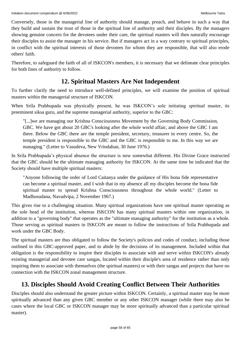Conversely, those in the managerial line of authority should manage, preach, and behave in such a way that they build and sustain the trust of those in the spiritual line of authority and their disciples. By the managers showing genuine concern for the devotees under their care, the spiritual masters will then naturally encourage their disciples to assist the manager in his service. But if managers act in a way contrary to spiritual principles, in conflict with the spiritual interests of those devotees for whom they are responsible, that will also erode others' faith.

Therefore, to safeguard the faith of all of ISKCON's members, it is necessary that we delineate clear principles for both lines of authority to follow.

# **12. Spiritual Masters Are Not Independent**

To further clarify the need to introduce well-defined principles, we will examine the position of spiritual masters within the managerial structure of ISKCON.

When Srila Prabhupada was physically present, he was ISKCON's sole initiating spiritual master, its preeminent siksa guru, and the supreme managerial authority, superior to the GBC:

"[...]we are managing our Krishna Consciousness Movement by the Governing Body Commission, GBC. We have got about 20 GBC's looking after the whole world affair, and above the GBC I am there. Below the GBC there are the temple president, secretary, treasurer in every centre. So, the temple president is responsible to the GBC and the GBC is responsible to me. In this way we are managing." (Letter to Vasudeva, New Vrindaban, 30 June 1976.)

In Srila Prabhupada's physical absence the structure is now somewhat different. His Divine Grace instructed that the GBC should be the ultimate managing authority for ISKCON. At the same time he indicated that the Society should have multiple spiritual masters:

"Anyone following the order of Lord Caitanya under the guidance of His bona fide representative can become a spiritual master, and I wish that in my absence all my disciples become the bona fide spiritual master to spread Krishna Consciousness throughout the whole world." (Letter to Madhusudana, Navadvipa, 2 November 1967.)

This gives rise to a challenging situation. Many spiritual organizations have one spiritual master operating as the sole head of the institution, whereas ISKCON has many spiritual masters within one organization, in addition to a "governing body" that operates as the "ultimate managing authority" for the institution as a whole. Those serving as spiritual masters in ISKCON are meant to follow the instructions of Srila Prabhupada and work under the GBC Body.

The spiritual masters are thus obligated to follow the Society's policies and codes of conduct, including those outlined in this GBC-approved paper, and to abide by the decisions of its management. Included within that obligation is the responsibility to inspire their disciples to associate with and serve within ISKCON's already existing managerial and devotee care sangas, located within their disciple's area of residence rather than only inspiring them to associate with themselves (the spiritual masters) or with their sangas and projects that have no connection with the ISKCON zonal management structure.

# **13. Disciples Should Avoid Creating Conflict Between Their Authorities**

Disciples should also understand the greater picture within ISKCON. Certainly, a spiritual master may be more spiritually advanced than any given GBC member or any other ISKCON manager (while there may also be cases where the local GBC or ISKCON manager may be more spiritually advanced than a particular spiritual master).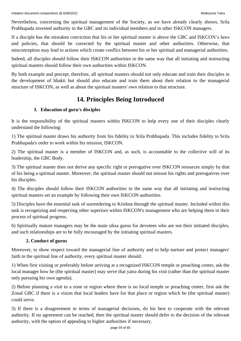Nevertheless, concerning the spiritual management of the Society, as we have already clearly shown, Srila Prabhupada invested authority in the GBC and its individual members and in other ISKCON managers.

If a disciple has the mistaken conviction that his or her spiritual master is above the GBC and ISKCON's laws and policies, that should be corrected by the spiritual master and other authorities. Otherwise, that misconception may lead to actions which create conflict between his or her spiritual and managerial authorities.

Indeed, all disciples should follow their ISKCON authorities in the same way that all initiating and instructing spiritual masters should follow their own authorities within ISKCON.

By both example and precept, therefore, all spiritual masters should not only educate and train their disciples in the development of bhakti but should also educate and train them about their relation to the managerial structure of ISKCON, as well as about the spiritual masters' own relation to that structure.

# **14. Principles Being Introduced**

### **I. Education of guru's disciples**

It is the responsibility of the spiritual masters within ISKCON to help every one of their disciples clearly understand the following:

1) The spiritual master draws his authority from his fidelity to Srila Prabhupada. This includes fidelity to Srila Prabhupada's order to work within his mission, ISKCON.

2) The spiritual master is a member of ISKCON and, as such, is accountable to the collective will of its leadership, the GBC Body.

3) The spiritual master does not derive any specific right or prerogative over ISKCON resources simply by dint of his being a spiritual master. Moreover, the spiritual master should not misuse his rights and prerogatives over his disciples.

4) The disciples should follow their ISKCON authorities in the same way that all initiating and instructing spiritual masters set an example by following their own ISKCON authorities.

5) Disciples have the essential task of surrendering to Krishna through the spiritual master. Included within this task is recognizing and respecting other superiors within ISKCON's management who are helping them in their process of spiritual progress.

6) Spiritually mature managers may be the main siksa gurus for devotees who are not their initiated disciples, and such relationships are to be fully encouraged by the initiating spiritual masters.

### **2. Conduct of gurus**

Moreover, to show respect toward the managerial line of authority and to help nurture and protect managers' faith in the spiritual line of authority, every spiritual master should:

1) When first visiting or preferably before arriving at a recognized ISKCON temple or preaching center, ask the local manager how he (the spiritual master) may serve that yatra during his visit (rather than the spiritual master only pursuing his own agenda).

2) Before planning a visit to a zone or region where there is no local temple or preaching center, first ask the Zonal GBC if there is a vision that local leaders have for that place or region which he (the spiritual master) could serve.

3) If there is a disagreement in terms of managerial decisions, do his best to cooperate with the relevant authority. If no agreement can be reached, then the spiritual master should defer to the decision of the relevant authority, with the option of appealing to higher authorities if necessary.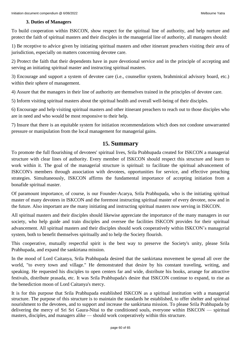### **3. Duties of Managers**

To build cooperation within ISKCON, show respect for the spiritual line of authority, and help nurture and protect the faith of spiritual masters and their disciples in the managerial line of authority, all managers should:

1) Be receptive to advice given by initiating spiritual masters and other itinerant preachers visiting their area of jurisdiction, especially on matters concerning devotee care.

2) Protect the faith that their dependents have in pure devotional service and in the principle of accepting and serving an initiating spiritual master and instructing spiritual masters.

3) Encourage and support a system of devotee care (i.e., counsellor system, brahminical advisory board, etc.) within their sphere of management.

4) Assure that the managers in their line of authority are themselves trained in the principles of devotee care.

5) Inform visiting spiritual masters about the spiritual health and overall well-being of their disciples.

6) Encourage and help visiting spiritual masters and other itinerant preachers to reach out to those disciples who are in need and who would be most responsive to their help.

7) Insure that there is an equitable system for initiation recommendations which does not condone unwarranted pressure or manipulation from the local management for managerial gains.

### **15. Summary**

To promote the full flourishing of devotees' spiritual lives, Srila Prabhupada created for ISKCON a managerial structure with clear lines of authority. Every member of ISKCON should respect this structure and learn to work within it. The goal of the managerial structure is spiritual: to facilitate the spiritual advancement of ISKCON's members through association with devotees, opportunities for service, and effective preaching strategies. Simultaneously, ISKCON affirms the fundamental importance of accepting initiation from a bonafide spiritual master.

Of paramount importance, of course, is our Founder-Acarya, Srila Prabhupada, who is the initiating spiritual master of many devotees in ISKCON and the foremost instructing spiritual master of every devotee, now and in the future. Also important are the many initiating and instructing spiritual masters now serving in ISKCON.

All spiritual masters and their disciples should likewise appreciate the importance of the many managers in our society, who help guide and train disciples and oversee the facilities ISKCON provides for their spiritual advancement. All spiritual masters and their disciples should work cooperatively within ISKCON's managerial system, both to benefit themselves spiritually and to help the Society flourish.

This cooperative, mutually respectful spirit is the best way to preserve the Society's unity, please Srila Prabhupada, and expand the sankirtana mission.

In the mood of Lord Caitanya, Srila Prabhupada desired that the sankirtana movement be spread all over the world, "to every town and village." He demonstrated that desire by his constant traveling, writing, and speaking. He requested his disciples to open centers far and wide, distribute his books, arrange for attractive festivals, distribute prasada, etc. It was Srila Prabhupada's desire that ISKCON continue to expand, to rise as the benediction moon of Lord Caitanya's mercy.

It is for this purpose that Srila Prabhupada established ISKCON as a spiritual institution with a managerial structure. The purpose of this structure is to maintain the standards he established, to offer shelter and spiritual nourishment to the devotees, and to support and increase the sankirtana mission. To please Srila Prabhupada by delivering the mercy of Sri Sri Gaura-Nitai to the conditioned souls, everyone within ISKCON — spiritual masters, disciples, and managers alike — should work cooperatively within this structure.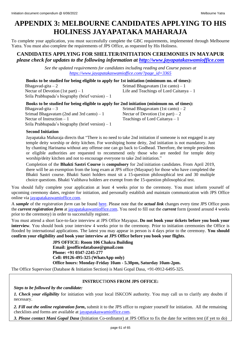# <span id="page-60-0"></span>**APPENDIX 3: MELBOURNE CANDIDATES APPLYING TO HIS HOLINESS JAYAPATAKA MAHARAJA**

To complete your application, you must successfully complete the GBC requirements, implemented through Melbourne Yatra. You must also complete the requirements of JPS Office, as requested by His Holiness.

### **CANDIDATES APPLYING FOR SHELTER/INITIATION CEREMONIES IN MAYAPUR** *please check for updates to the following information at [http://www.jayapatakaswamioffice.com](http://www.jayapatakaswamioffice.com/)*

*See the updated requirements for candidates including reading and Course passes at [https://www.jayapatakaswamioffice.com/?page\\_id=3365](https://www.jayapatakaswamioffice.com/?page_id=3365)*

**Books to be studied for being eligible to apply for 1st initiation (minimum no. of times):** Bhagavad-gita – 2 Srimad Bhagavatam (1st canto) – 1 Nectar of Devotion  $(1st part) - 1$  Life and Teachings of Lord Caitanya – 1 Srila Prabhupada's biography (brief version) – 1

| Books to be studied for being eligible to apply for 2nd initiation (minimum no. of times): |                                     |  |  |  |  |  |
|--------------------------------------------------------------------------------------------|-------------------------------------|--|--|--|--|--|
| Bhagavad-gita $-3$                                                                         | Srimad Bhagavatam $(1st$ canto) – 2 |  |  |  |  |  |
| Srimad Bhagavatam (2nd and 3rd canto) $-1$                                                 | Nectar of Devotion (1st part) – 2   |  |  |  |  |  |
| Nectar of Instruction $-1$                                                                 | Teachings of Lord Caitanya $-1$     |  |  |  |  |  |
| Srila Prabhupada's biography (brief version) $-1$                                          |                                     |  |  |  |  |  |

### **Second Initiation**

Jayapataka Maharaja directs that "There is no need to take 2nd initiation if someone is not engaged in any temple deity worship or deity kitchen. For worshiping home deity, 2nd initiation is not mandatory. Just by chanting Harinama without any offense one can go back to Godhead. Therefore, the temple presidents or eligible authorities are requested to recommend only those who are needed for temple deity worship/deity kitchen and not to encourage everyone to take 2nd initiation."

Completion of the **Bhakti Sastri Course** is **compulsory** for 2nd initiation candidates. From April 2019, there will be an exemption from the long exam at JPS office (Mayapur) for those who have completed the Bhakti Sastri course. Bhakti Sastri holders must sit a 15-question philosophical test and 30 multiple choice questions. Bhakti Vaibhava holders are exempt from the 15-question philosophical test.

You should fully complete your application at least 4 weeks prior to the ceremony. You must inform yourself of upcoming ceremony dates, register for initiation, and personally establish and maintain communication with JPS Office online via [jayapatakaswamioffice.com.](http://www.jayapatakaswamioffice.com/)

A *sample* of the *registration form* can be found [here.](https://docs.google.com/forms/d/e/1FAIpQLSdrIQSE7gEdmvAf5QRuayLGBuxzGC_nyWRFB6oYT4Q7ZoLh8A/viewform) Please note that the *actual link* changes every time JPS Office posts the *current registration form* at [jayapatakaswamioffice.com.](http://www.jayapatakaswamioffice.com/) You need to fill out the *current* form (posted around 4 weeks prior to the ceremony) in order to successfully register.

You must attend a short face-to-face interview at JPS Office Mayapur**. Do not book your tickets before you book your interview**. You should book your interview 4 weeks prior to the ceremony. Prior to initiation ceremonies the Office is flooded by international applications. The latest you may appear in person is 4 days prior to the ceremony. **You should confirm your eligibility and book your interview at JPS Office before you book your flights**.

> **JPS OFFICE: Room 106 Chakra Building Email: jpsofficedatabase@gmail.com Phone: +91 0347-2245-277 Cell: 09126-495-325 (WhatsApp only) Office hours: Monday-Friday 10am - 5.30pm, Saturday 10am-2pm.**

The Office Supervisor (Database & Initiation Section) is Mani Gopal Dasa, +91-0912-6495-325.

### **INSTRUC**TI**ONS FROM JPS OFFICE:**

*Steps to be followed by the candidate:* 

*1. Check your eligibility* for initiation with your local ISKCON authority. You may call us to clarify any doubts if necessary.

*2. Fill out the online registration form***,** submit it to the JPS office to register yourself for initiation. All the remaining checklists and forms are available at [jayapatakaswamioffice.com.](http://www.jayapatakaswamioffice.com/)

*3. Please contact Mani Gopal Dasa* (Initiation Co-ordinator) at JPS Office to fix the date for written test (if yet to do)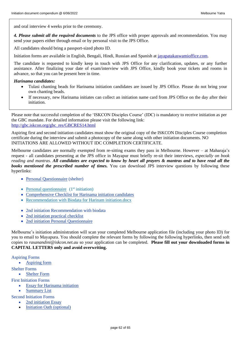and oral interview 4 weeks prior to the ceremony.

*4. Please submit all the required documents* to the JPS office with proper approvals and recommendation. You may send your papers either through email or by personal visit to the JPS Office.

All candidates should bring a passport-sized photo ID.

Initiation forms are available in English, Bengali, Hindi, Russian and Spanish at jayapatakaswamioffice.com.

The candidate is requested to kindly keep in touch with JPS Office for any clarification, updates, or any further assistance. After finalizing your date of exam/interview with JPS Office, kindly book your tickets and rooms in advance, so that you can be present here in time.

### *Harinama candidates:*

- Tulasi chanting beads for Harinama initiation candidates are issued by JPS Office. Please do not bring your own chanting beads.
- If necessary, new Harinama initiates can collect an initiation name card from JPS Office on the day after their initiation.

Please note that successful completion of the 'ISKCON Disciples Course' (IDC) is mandatory to receive initiation as per the GBC mandate. For detailed information please visit the following link: http://gbc.iskcon.org/gbc\_res/GBCRES14.html

Aspiring first and second initiation candidates must show the original copy of the ISKCON Disciples Course completion certificate during the interview and submit a photocopy of the same along with other initiation documents. NO INITIATIONS ARE ALLOWED WITHOUT IDC COMPLETION CERTIFICATE.

Melbourne candidates are normally exempted from re-sitting exams they pass in Melbourne. However – at Maharaja's request - all candidates presenting at the JPS office in Mayapur must briefly re-sit their interviews, *especially on book reading and mantras*. *All candidates are expected to know by heart all prayers & mantras and to have read all the books mentioned the prescribed number of times.* You can download JPS interview questions by following these hyperlinks:

- Personal Questionnaire (shelter)
- Personal questionnaire  $(1<sup>st</sup> initiation)$
- Comprehensive Checklist for Harinama initiation candidates
- Recommendation with Biodata for Harinam initiation.docx
- 2nd initiation Recommendation with biodata
- 2nd initiation practical checklist
- 2nd initiation Personal Questionnaire

Melbourne's initiation administration will scan your completed Melbourne application file (including your photo ID) for you to email to Mayapura. You should complete the relevant forms by following the following hyperlinks, then send soft copies to *rasanandini@iskcon.net.au* so your application can be completed. **Please fill out your downloaded forms in CAPITAL LETTERS only and avoid overwriting.**

### Aspiring Forms

- Aspiring form
- Shelter Forms
	- Shelter Form

First Initiation Forms

- Essay for Harinama initiation
- Summary List
- Second Initiation Forms
	- 2nd initiation Essay
	- **Initiation Oath (optional)**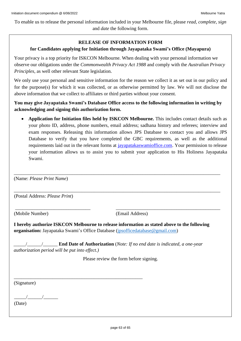To enable us to release the personal information included in your Melbourne file, please *read, complete, sign* and *date* the following form.

### **RELEASE OF INFORMATION FORM**

### **for Candidates applying for Initiation through Jayapataka Swami's Office (Mayapura)**

Your privacy is a top priority for ISKCON Melbourne. When dealing with your personal information we observe our obligations under the *Commonwealth Privacy Act 1988* and comply with the *Australian Privacy Principles*, as well other relevant State legislation.

We only use your personal and sensitive information for the reason we collect it as set out in our policy and for the purpose(s) for which it was collected, or as otherwise permitted by law. We will not disclose the above information that we collect to affiliates or third parties without your consent.

**You may give Jayapataka Swami's Database Office access to the following information in writing by acknowledging and signing this authorization form.** 

\_\_\_\_\_\_\_\_\_\_\_\_\_\_\_\_\_\_\_\_\_\_\_\_\_\_\_\_\_\_\_\_\_\_\_\_\_\_\_\_\_\_\_\_\_\_\_\_\_\_\_\_\_\_\_\_\_\_\_\_\_\_\_\_\_\_\_\_\_\_\_\_\_\_\_\_\_\_\_\_\_\_\_\_\_

\_\_\_\_\_\_\_\_\_\_\_\_\_\_\_\_\_\_\_\_\_\_\_\_\_\_\_\_\_\_\_\_\_\_\_\_\_\_\_\_\_\_\_\_\_\_\_\_\_\_\_\_\_\_\_\_\_\_\_\_\_\_\_\_\_\_\_\_\_\_\_\_\_\_\_\_\_\_\_\_\_\_\_\_\_

\_\_\_\_\_\_\_\_\_\_\_\_\_\_\_\_\_\_\_\_\_\_\_\_\_\_\_\_\_\_\_ \_\_\_\_\_\_\_\_\_\_\_\_\_\_\_\_\_\_\_\_\_\_\_\_\_\_\_\_\_\_\_\_\_\_\_\_\_\_\_\_\_\_\_

• **Application for Initiation files held by ISKCON Melbourne.** This includes contact details such as your photo ID, address, phone numbers, email address; sadhana history and referees; interview and exam responses. Releasing this information allows JPS Database to contact you and allows JPS Database to verify that you have completed the GBC requirements, as well as the additional requirements laid out in the relevant forms at *jayapatakaswamioffice.com*. Your permission to release your information allows us to assist you to submit your application to His Holiness Jayapataka Swami.

(Name: *Please Print Name*)

(Postal Address: *Please Print*)

(Mobile Number) (Email Address)

**I hereby authorize ISKCON Melbourne to release information as stated above to the following organisation:** Jayapataka Swami's Office Database (jpsofficedatabase@gmail.com)

\_\_\_\_\_/\_\_\_\_\_\_/\_\_\_\_\_\_ **End Date of Authorization** (*Note: If no end date is indicated, a one-year authorization period will be put into effect.)*

\_\_\_\_\_\_\_\_\_\_\_\_\_\_\_\_\_\_\_\_\_\_\_\_\_\_\_\_\_\_\_\_\_\_\_\_\_\_\_\_\_\_\_\_\_\_\_\_\_\_\_\_\_

Please review the form before signing.

(Signature)

 $\frac{1}{\sqrt{2\pi}}$ 

(Date)